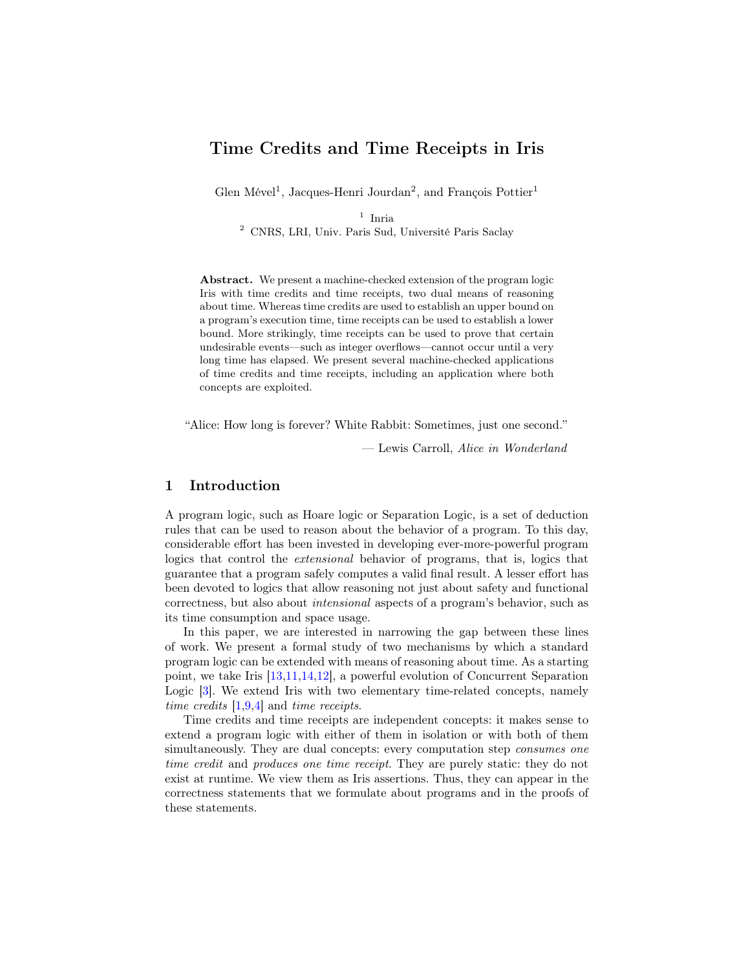# Time Credits and Time Receipts in Iris

Glen Mével<sup>1</sup>, Jacques-Henri Jourdan<sup>2</sup>, and François Pottier<sup>1</sup>

1 Inria

<sup>2</sup> CNRS, LRI, Univ. Paris Sud, Université Paris Saclay

Abstract. We present a machine-checked extension of the program logic Iris with time credits and time receipts, two dual means of reasoning about time. Whereas time credits are used to establish an upper bound on a program's execution time, time receipts can be used to establish a lower bound. More strikingly, time receipts can be used to prove that certain undesirable events—such as integer overflows—cannot occur until a very long time has elapsed. We present several machine-checked applications of time credits and time receipts, including an application where both concepts are exploited.

"Alice: How long is forever? White Rabbit: Sometimes, just one second."

— Lewis Carroll, Alice in Wonderland

# 1 Introduction

A program logic, such as Hoare logic or Separation Logic, is a set of deduction rules that can be used to reason about the behavior of a program. To this day, considerable effort has been invested in developing ever-more-powerful program logics that control the extensional behavior of programs, that is, logics that guarantee that a program safely computes a valid final result. A lesser effort has been devoted to logics that allow reasoning not just about safety and functional correctness, but also about intensional aspects of a program's behavior, such as its time consumption and space usage.

In this paper, we are interested in narrowing the gap between these lines of work. We present a formal study of two mechanisms by which a standard program logic can be extended with means of reasoning about time. As a starting point, we take Iris [\[13,](#page-25-0)[11](#page-25-1)[,14,](#page-25-2)[12\]](#page-25-3), a powerful evolution of Concurrent Separation Logic [\[3\]](#page-24-0). We extend Iris with two elementary time-related concepts, namely time credits [\[1](#page-24-1)[,9,](#page-25-4)[4\]](#page-24-2) and time receipts.

Time credits and time receipts are independent concepts: it makes sense to extend a program logic with either of them in isolation or with both of them simultaneously. They are dual concepts: every computation step *consumes one* time credit and produces one time receipt. They are purely static: they do not exist at runtime. We view them as Iris assertions. Thus, they can appear in the correctness statements that we formulate about programs and in the proofs of these statements.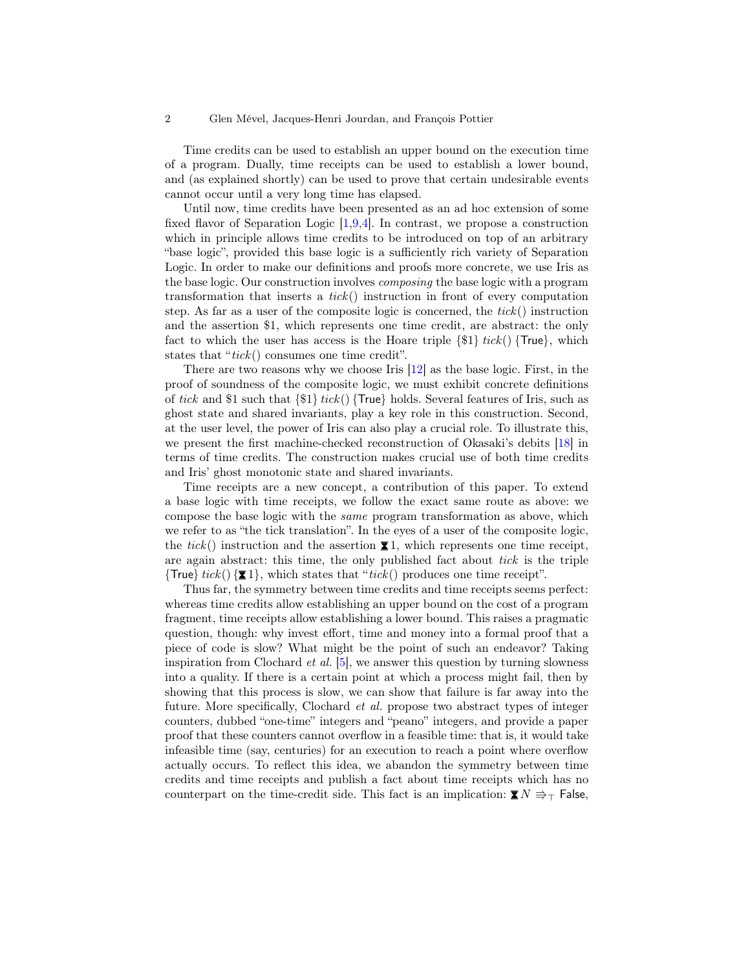Time credits can be used to establish an upper bound on the execution time of a program. Dually, time receipts can be used to establish a lower bound, and (as explained shortly) can be used to prove that certain undesirable events cannot occur until a very long time has elapsed.

Until now, time credits have been presented as an ad hoc extension of some fixed flavor of Separation Logic [\[1,](#page-24-1)[9,](#page-25-4)[4\]](#page-24-2). In contrast, we propose a construction which in principle allows time credits to be introduced on top of an arbitrary "base logic", provided this base logic is a sufficiently rich variety of Separation Logic. In order to make our definitions and proofs more concrete, we use Iris as the base logic. Our construction involves composing the base logic with a program transformation that inserts a  $tick()$  instruction in front of every computation step. As far as a user of the composite logic is concerned, the  $tick()$  instruction and the assertion \$1, which represents one time credit, are abstract: the only fact to which the user has access is the Hoare triple  $\{\$1\}$  tick()  $\{\text{True}\}\text{, which}$ states that "tick() consumes one time credit".

There are two reasons why we choose Iris [\[12\]](#page-25-3) as the base logic. First, in the proof of soundness of the composite logic, we must exhibit concrete definitions of tick and \$1 such that  $\{\$1\}$  tick()  $\{\text{True}\}\$  holds. Several features of Iris, such as ghost state and shared invariants, play a key role in this construction. Second, at the user level, the power of Iris can also play a crucial role. To illustrate this, we present the first machine-checked reconstruction of Okasaki's debits [\[18\]](#page-25-5) in terms of time credits. The construction makes crucial use of both time credits and Iris' ghost monotonic state and shared invariants.

Time receipts are a new concept, a contribution of this paper. To extend a base logic with time receipts, we follow the exact same route as above: we compose the base logic with the same program transformation as above, which we refer to as "the tick translation". In the eyes of a user of the composite logic, the tick() instruction and the assertion  $\mathbf{\Sigma}1$ , which represents one time receipt, are again abstract: this time, the only published fact about tick is the triple  $\{True\}$  tick()  $\{\mathbf{\Sigma}1\}$ , which states that "tick() produces one time receipt".

Thus far, the symmetry between time credits and time receipts seems perfect: whereas time credits allow establishing an upper bound on the cost of a program fragment, time receipts allow establishing a lower bound. This raises a pragmatic question, though: why invest effort, time and money into a formal proof that a piece of code is slow? What might be the point of such an endeavor? Taking inspiration from Clochard *et al.* [\[5\]](#page-24-3), we answer this question by turning slowness into a quality. If there is a certain point at which a process might fail, then by showing that this process is slow, we can show that failure is far away into the future. More specifically, Clochard et al. propose two abstract types of integer counters, dubbed "one-time" integers and "peano" integers, and provide a paper proof that these counters cannot overflow in a feasible time: that is, it would take infeasible time (say, centuries) for an execution to reach a point where overflow actually occurs. To reflect this idea, we abandon the symmetry between time credits and time receipts and publish a fact about time receipts which has no counterpart on the time-credit side. This fact is an implication:  $\mathbf{\Sigma} N \Rightarrow_{\mathbf{\tau}} \mathsf{False}$ ,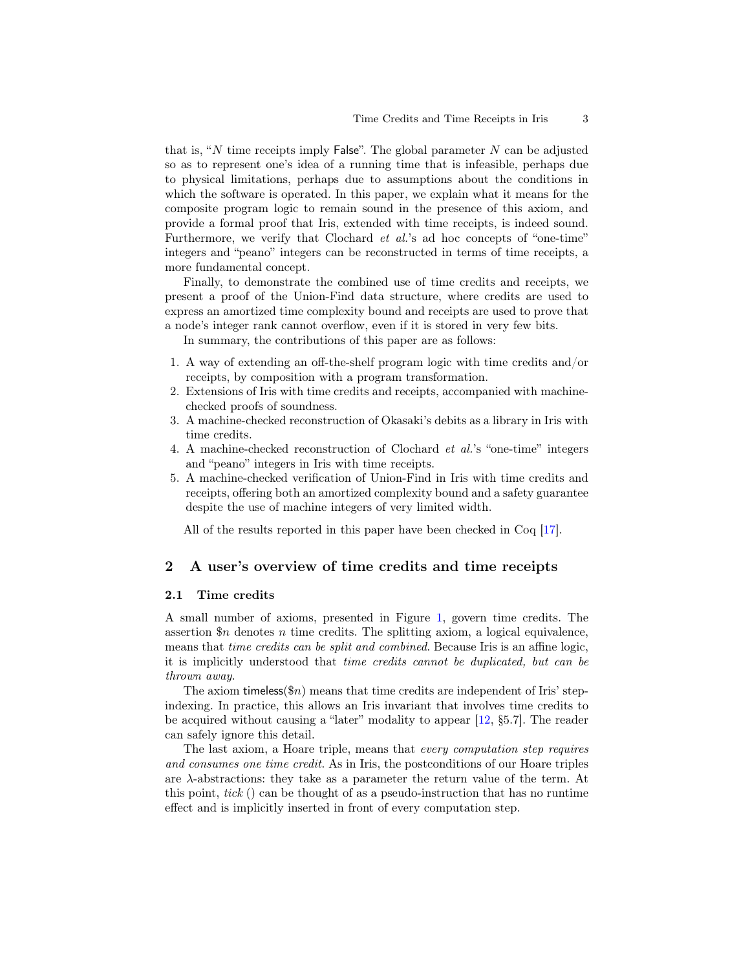that is, "N time receipts imply False". The global parameter  $N$  can be adjusted so as to represent one's idea of a running time that is infeasible, perhaps due to physical limitations, perhaps due to assumptions about the conditions in which the software is operated. In this paper, we explain what it means for the composite program logic to remain sound in the presence of this axiom, and provide a formal proof that Iris, extended with time receipts, is indeed sound. Furthermore, we verify that Clochard et al.'s ad hoc concepts of "one-time" integers and "peano" integers can be reconstructed in terms of time receipts, a more fundamental concept.

Finally, to demonstrate the combined use of time credits and receipts, we present a proof of the Union-Find data structure, where credits are used to express an amortized time complexity bound and receipts are used to prove that a node's integer rank cannot overflow, even if it is stored in very few bits.

In summary, the contributions of this paper are as follows:

- 1. A way of extending an off-the-shelf program logic with time credits and/or receipts, by composition with a program transformation.
- 2. Extensions of Iris with time credits and receipts, accompanied with machinechecked proofs of soundness.
- 3. A machine-checked reconstruction of Okasaki's debits as a library in Iris with time credits.
- 4. A machine-checked reconstruction of Clochard et al.'s "one-time" integers and "peano" integers in Iris with time receipts.
- 5. A machine-checked verification of Union-Find in Iris with time credits and receipts, offering both an amortized complexity bound and a safety guarantee despite the use of machine integers of very limited width.

All of the results reported in this paper have been checked in Coq [\[17\]](#page-25-6).

## <span id="page-2-0"></span>2 A user's overview of time credits and time receipts

#### 2.1 Time credits

A small number of axioms, presented in Figure [1,](#page-3-0) govern time credits. The assertion  $n$  denotes n time credits. The splitting axiom, a logical equivalence, means that *time credits can be split and combined*. Because Iris is an affine logic, it is implicitly understood that time credits cannot be duplicated, but can be thrown away.

The axiom timeless( $\mathcal{F}_n$ ) means that time credits are independent of Iris' stepindexing. In practice, this allows an Iris invariant that involves time credits to be acquired without causing a "later" modality to appear [\[12,](#page-25-3) §5.7]. The reader can safely ignore this detail.

The last axiom, a Hoare triple, means that every computation step requires and consumes one time credit. As in Iris, the postconditions of our Hoare triples are  $\lambda$ -abstractions: they take as a parameter the return value of the term. At this point, tick  $()$  can be thought of as a pseudo-instruction that has no runtime effect and is implicitly inserted in front of every computation step.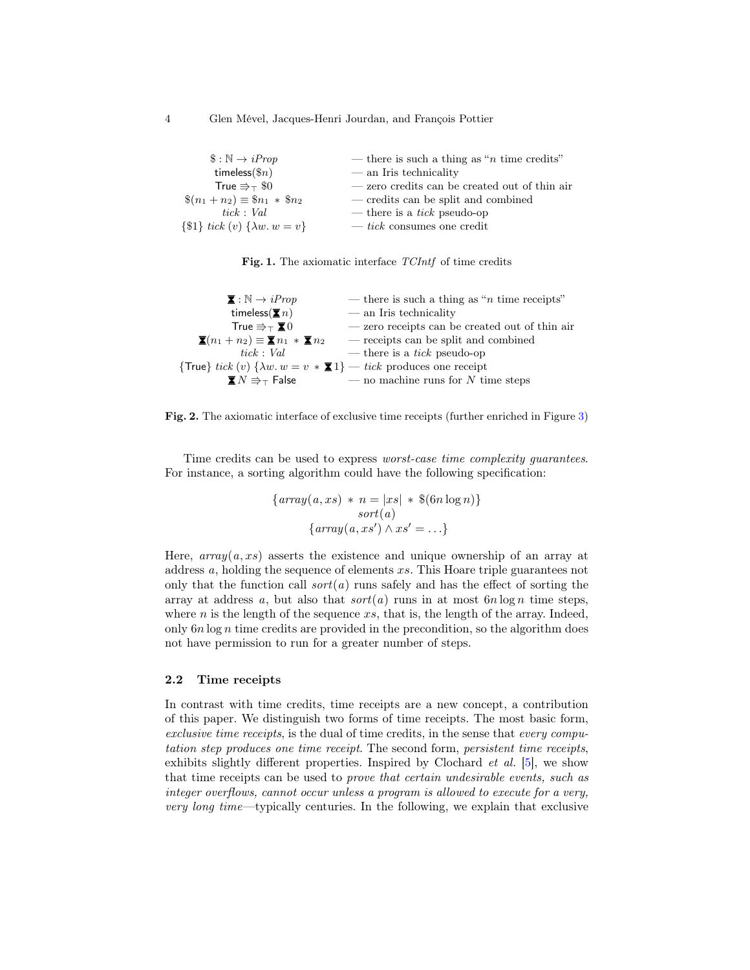| $\$\colon\mathbb{N}\to iProp$             | — there is such a thing as " <i>n</i> time credits" |
|-------------------------------------------|-----------------------------------------------------|
| timeless $(\$n)$                          | $-$ an Iris technicality                            |
| True $\Rightarrow_{\tau}$ \$0             | - zero credits can be created out of thin air       |
| $\$(n_1+n_2)\equiv \$n_1 * \$n_2$         | — credits can be split and combined                 |
| tick : Val                                | — there is a <i>tick</i> pseudo-op                  |
| $\{\$1\}$ tick (v) $\{\lambda w. w = v\}$ | $-$ tick consumes one credit                        |

<span id="page-3-0"></span>

|  |  | Fig. 1. The axiomatic interface TCIntf of time credits |  |  |  |  |  |
|--|--|--------------------------------------------------------|--|--|--|--|--|
|--|--|--------------------------------------------------------|--|--|--|--|--|

| $\mathbf{\Sigma}: \mathbb{N} \to iProp$                                                       | — there is such a thing as " <i>n</i> time receipts" |
|-----------------------------------------------------------------------------------------------|------------------------------------------------------|
| timeless( $\mathbf{\Sigma}$ <i>n</i> )                                                        | $-$ an Iris technicality                             |
| True $\Rightarrow_{\top} \mathbf{\Sigma} 0$                                                   | - zero receipts can be created out of thin air       |
| $\mathbf{\Sigma}(n_1+n_2)\equiv \mathbf{\Sigma} n_1 * \mathbf{\Sigma} n_2$                    | — receipts can be split and combined                 |
| tick : Val                                                                                    | — there is a <i>tick</i> pseudo-op                   |
| $\{\text{True}\}\,$ tick (v) $\{\lambda w. w = v * \mathbf{I}\}\$ — tick produces one receipt |                                                      |
| $\blacktriangleright N \Rightarrow_{\top}$ False                                              | — no machine runs for $N$ time steps                 |

<span id="page-3-1"></span>Fig. 2. The axiomatic interface of exclusive time receipts (further enriched in Figure [3\)](#page-6-0)

Time credits can be used to express worst-case time complexity guarantees. For instance, a sorting algorithm could have the following specification:

> $\{array(a, xs) * n = |xs| * $(6n \log n)$\}$ sort(a)  $\{array(a, xs') \wedge xs' = \ldots \}$

Here,  $array(a, xs)$  asserts the existence and unique ownership of an array at address a, holding the sequence of elements xs. This Hoare triple guarantees not only that the function call  $sort(a)$  runs safely and has the effect of sorting the array at address a, but also that  $sort(a)$  runs in at most  $6n \log n$  time steps, where n is the length of the sequence  $xs$ , that is, the length of the array. Indeed, only  $6n \log n$  time credits are provided in the precondition, so the algorithm does not have permission to run for a greater number of steps.

### 2.2 Time receipts

In contrast with time credits, time receipts are a new concept, a contribution of this paper. We distinguish two forms of time receipts. The most basic form, exclusive time receipts, is the dual of time credits, in the sense that every computation step produces one time receipt. The second form, persistent time receipts, exhibits slightly different properties. Inspired by Clochard *et al.* [\[5\]](#page-24-3), we show that time receipts can be used to prove that certain undesirable events, such as integer overflows, cannot occur unless a program is allowed to execute for a very, very long time—typically centuries. In the following, we explain that exclusive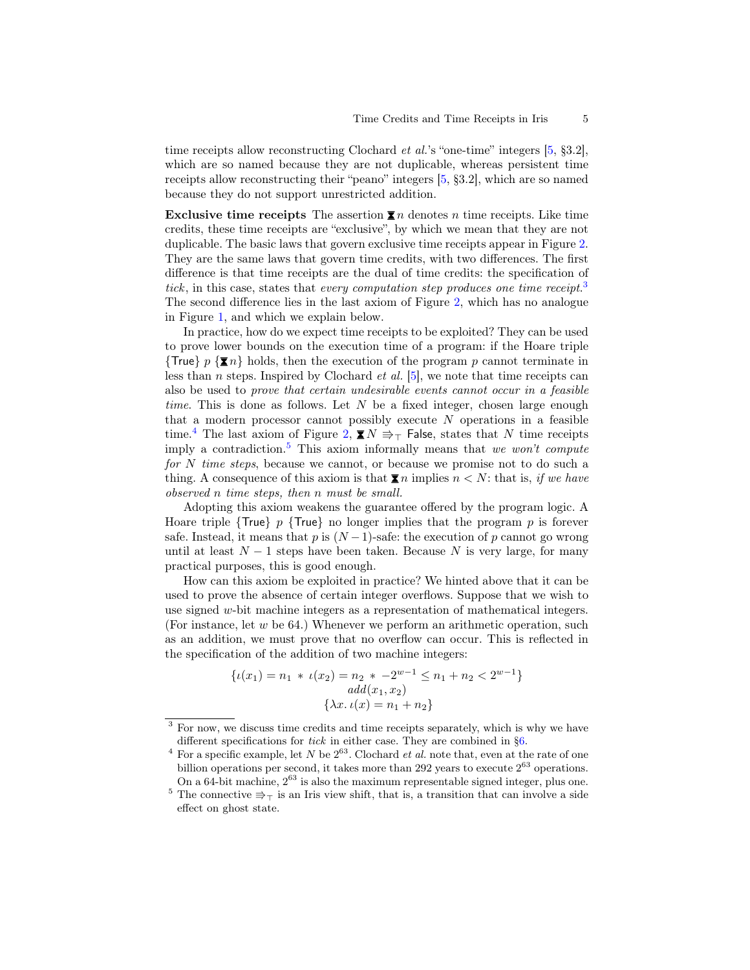time receipts allow reconstructing Clochard et al.'s "one-time" integers [\[5,](#page-24-3) §3.2], which are so named because they are not duplicable, whereas persistent time receipts allow reconstructing their "peano" integers [\[5,](#page-24-3) §3.2], which are so named because they do not support unrestricted addition.

Exclusive time receipts The assertion  $\mathbf{\Sigma} n$  denotes n time receipts. Like time credits, these time receipts are "exclusive", by which we mean that they are not duplicable. The basic laws that govern exclusive time receipts appear in Figure [2.](#page-3-1) They are the same laws that govern time credits, with two differences. The first difference is that time receipts are the dual of time credits: the specification of tick, in this case, states that every computation step produces one time receipt.<sup>[3](#page-4-0)</sup> The second difference lies in the last axiom of Figure [2,](#page-3-1) which has no analogue in Figure [1,](#page-3-0) and which we explain below.

In practice, how do we expect time receipts to be exploited? They can be used to prove lower bounds on the execution time of a program: if the Hoare triple {True}  $p \{\textbf{\text{I}}\}\$  holds, then the execution of the program p cannot terminate in less than  $n$  steps. Inspired by Clochard *et al.* [\[5\]](#page-24-3), we note that time receipts can also be used to prove that certain undesirable events cannot occur in a feasible time. This is done as follows. Let  $N$  be a fixed integer, chosen large enough that a modern processor cannot possibly execute  $N$  operations in a feasible time.<sup>[4](#page-4-1)</sup> The last axiom of Figure [2,](#page-3-1)  $\blacksquare N \Rightarrow_{\top}$  False, states that N time receipts imply a contradiction.<sup>[5](#page-4-2)</sup> This axiom informally means that we won't compute for N time steps, because we cannot, or because we promise not to do such a thing. A consequence of this axiom is that  $\mathbf{\Sigma} n$  implies  $n < N$ : that is, if we have observed n time steps, then n must be small.

Adopting this axiom weakens the guarantee offered by the program logic. A Hoare triple  $\{True\}$  p  $\{True\}$  no longer implies that the program p is forever safe. Instead, it means that p is  $(N-1)$ -safe: the execution of p cannot go wrong until at least  $N-1$  steps have been taken. Because N is very large, for many practical purposes, this is good enough.

How can this axiom be exploited in practice? We hinted above that it can be used to prove the absence of certain integer overflows. Suppose that we wish to use signed w-bit machine integers as a representation of mathematical integers. (For instance, let  $w$  be 64.) Whenever we perform an arithmetic operation, such as an addition, we must prove that no overflow can occur. This is reflected in the specification of the addition of two machine integers:

$$
\{\iota(x_1) = n_1 \ * \ \iota(x_2) = n_2 \ * \ -2^{w-1} \le n_1 + n_2 < 2^{w-1}\}
$$
\n
$$
add(x_1, x_2)
$$
\n
$$
\{\lambda x. \ \iota(x) = n_1 + n_2\}
$$

<span id="page-4-0"></span><sup>&</sup>lt;sup>3</sup> For now, we discuss time credits and time receipts separately, which is why we have different specifications for *tick* in either case. They are combined in  $\S6$ .

<span id="page-4-1"></span><sup>&</sup>lt;sup>4</sup> For a specific example, let N be  $2^{63}$ . Clochard *et al.* note that, even at the rate of one billion operations per second, it takes more than 292 years to execute  $2^{63}$  operations. On a 64-bit machine,  $2^{63}$  is also the maximum representable signed integer, plus one.

<span id="page-4-2"></span><sup>&</sup>lt;sup>5</sup> The connective  $\Rightarrow$ <sub>⊤</sub> is an Iris view shift, that is, a transition that can involve a side effect on ghost state.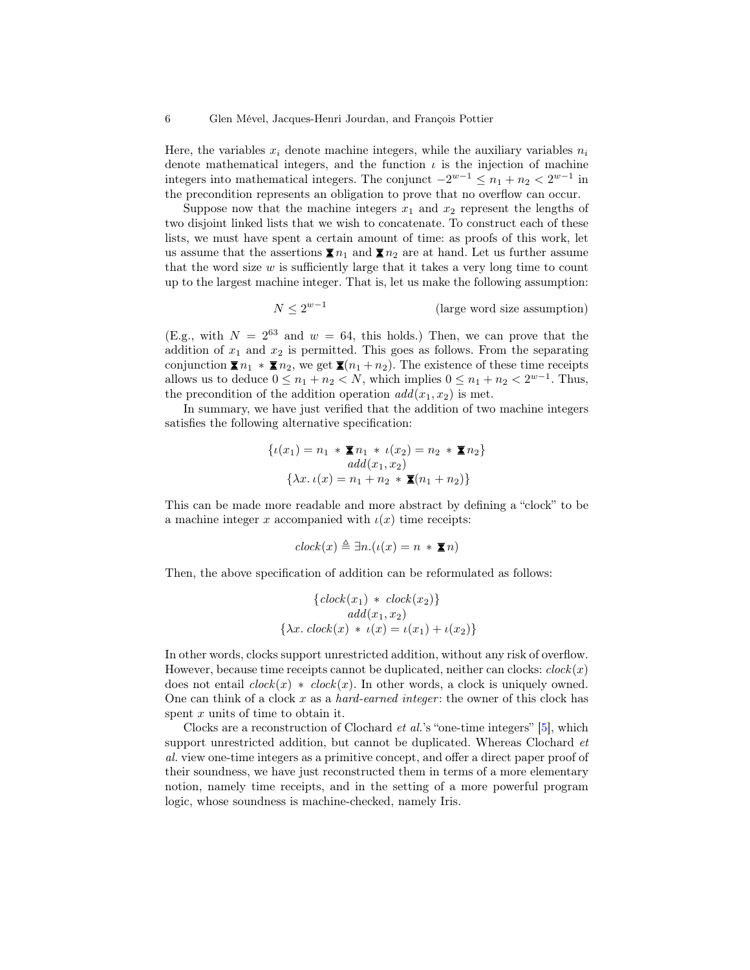Here, the variables  $x_i$  denote machine integers, while the auxiliary variables  $n_i$ denote mathematical integers, and the function  $\iota$  is the injection of machine integers into mathematical integers. The conjunct  $-2^{w-1} \le n_1 + n_2 < 2^{w-1}$  in the precondition represents an obligation to prove that no overflow can occur.

Suppose now that the machine integers  $x_1$  and  $x_2$  represent the lengths of two disjoint linked lists that we wish to concatenate. To construct each of these lists, we must have spent a certain amount of time: as proofs of this work, let us assume that the assertions  $\mathbf{\Sigma} n_1$  and  $\mathbf{\Sigma} n_2$  are at hand. Let us further assume that the word size  $w$  is sufficiently large that it takes a very long time to count up to the largest machine integer. That is, let us make the following assumption:

$$
N \le 2^{w-1}
$$
 (large word size assumption)

(E.g., with  $N = 2^{63}$  and  $w = 64$ , this holds.) Then, we can prove that the addition of  $x_1$  and  $x_2$  is permitted. This goes as follows. From the separating conjunction  $\mathbf{\Sigma} n_1 * \mathbf{\Sigma} n_2$ , we get  $\mathbf{\Sigma} (n_1 + n_2)$ . The existence of these time receipts allows us to deduce  $0 \leq n_1 + n_2 < N$ , which implies  $0 \leq n_1 + n_2 < 2^{w-1}$ . Thus, the precondition of the addition operation  $add(x_1, x_2)$  is met.

In summary, we have just verified that the addition of two machine integers satisfies the following alternative specification:

$$
\{ \iota(x_1) = n_1 * \mathbf{\Sigma} n_1 * \iota(x_2) = n_2 * \mathbf{\Sigma} n_2 \}
$$
  

$$
add(x_1, x_2)
$$
  

$$
\{ \lambda x. \iota(x) = n_1 + n_2 * \mathbf{\Sigma} (n_1 + n_2) \}
$$

This can be made more readable and more abstract by defining a "clock" to be a machine integer x accompanied with  $\iota(x)$  time receipts:

$$
clock(x) \triangleq \exists n.(\iota(x) = n * \mathbf{\Sigma} n)
$$

Then, the above specification of addition can be reformulated as follows:

$$
\begin{aligned}\n\{ clock(x_1) * clock(x_2) \} \\
add(x_1, x_2) \\
\{\lambda x. clock(x) * \iota(x) = \iota(x_1) + \iota(x_2) \}\n\end{aligned}
$$

In other words, clocks support unrestricted addition, without any risk of overflow. However, because time receipts cannot be duplicated, neither can clocks:  $clock(x)$ does not entail  $clock(x) * clock(x)$ . In other words, a clock is uniquely owned. One can think of a clock x as a *hard-earned integer*: the owner of this clock has spent x units of time to obtain it.

Clocks are a reconstruction of Clochard et al.'s "one-time integers" [\[5\]](#page-24-3), which support unrestricted addition, but cannot be duplicated. Whereas Clochard *et* al. view one-time integers as a primitive concept, and offer a direct paper proof of their soundness, we have just reconstructed them in terms of a more elementary notion, namely time receipts, and in the setting of a more powerful program logic, whose soundness is machine-checked, namely Iris.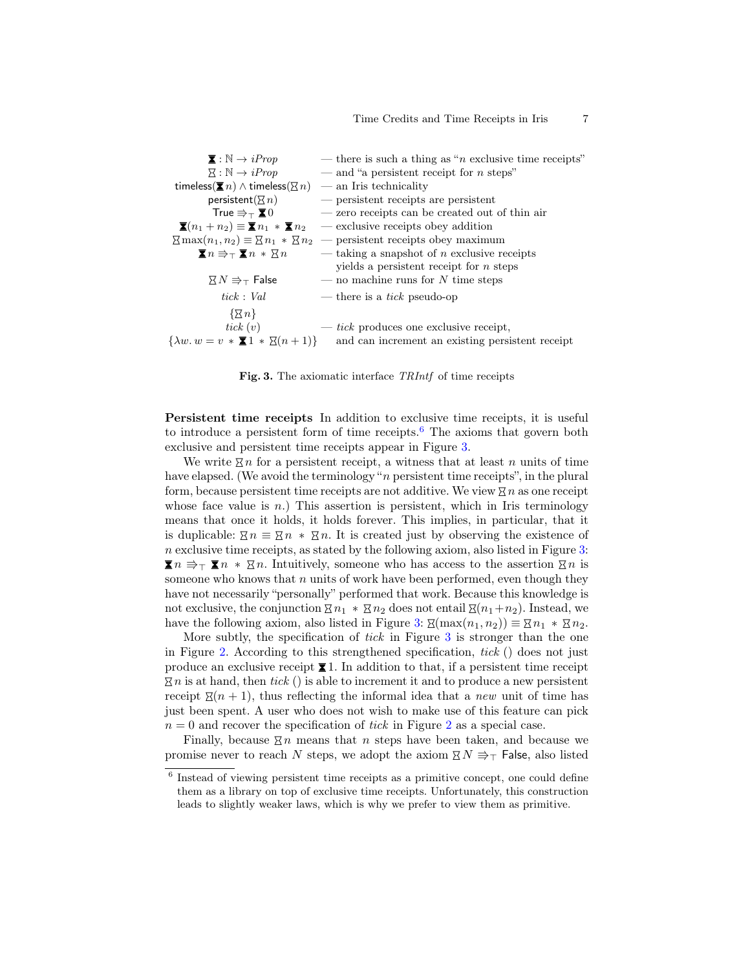| $\overline{\blacktriangleright} : \mathbb{N} \to iProp$                      | — there is such a thing as " <i>n</i> exclusive time receipts" |
|------------------------------------------------------------------------------|----------------------------------------------------------------|
| $\overline{R} : \mathbb{N} \to iProp$                                        | $-$ and "a persistent receipt for <i>n</i> steps"              |
| timeless( $\mathbf{\Sigma}$ n) $\wedge$ timeless( $\boxtimes$ n)             | $-$ an Iris technicality                                       |
| persistent( $\Xi$ <i>n</i> )                                                 | — persistent receipts are persistent                           |
| True $\Rightarrow_{\top} \mathbf{\Sigma} 0$                                  | - zero receipts can be created out of thin air                 |
| $\mathbf{\Sigma}(n_1+n_2)\equiv \mathbf{\Sigma} n_1 * \mathbf{\Sigma} n_2$   | — exclusive receipts obey addition                             |
| $\sum \max(n_1, n_2) \equiv \sum n_1 \cdot \sum n_2$                         | — persistent receipts obey maximum                             |
| $\mathbf{\Sigma} n \Rightarrow_{\top} \mathbf{\Sigma} n * \mathbf{\Sigma} n$ | $-$ taking a snapshot of <i>n</i> exclusive receipts           |
|                                                                              | yields a persistent receipt for $n$ steps                      |
| $\overline{R} N \Rrightarrow_{\tau}$ False                                   | — no machine runs for N time steps                             |
| tick : Val                                                                   | — there is a <i>tick</i> pseudo-op                             |
| $\{\n\{X_n\}\}\$                                                             |                                                                |
| tick $(v)$                                                                   | $-\textit{tick}$ produces one exclusive receipt,               |
| $\{\lambda w. w = v * \mathbf{\Sigma} 1 * \mathbf{X}(n+1)\}\$                | and can increment an existing persistent receipt               |

<span id="page-6-0"></span>Fig. 3. The axiomatic interface TRIntf of time receipts

Persistent time receipts In addition to exclusive time receipts, it is useful to introduce a persistent form of time receipts.<sup>[6](#page-6-1)</sup> The axioms that govern both exclusive and persistent time receipts appear in Figure [3.](#page-6-0)

We write  $\overline{\mathbf{X}}$  n for a persistent receipt, a witness that at least n units of time have elapsed. (We avoid the terminology "*n* persistent time receipts", in the plural form, because persistent time receipts are not additive. We view  $\overline{X}n$  as one receipt whose face value is  $n$ .) This assertion is persistent, which in Iris terminology means that once it holds, it holds forever. This implies, in particular, that it is duplicable:  $\Xi n \equiv \overline{\Xi} n * \overline{\Xi} n$ . It is created just by observing the existence of n exclusive time receipts, as stated by the following axiom, also listed in Figure [3:](#page-6-0)  $\mathbf{\Sigma} n \Rightarrow_{\top} \mathbf{\Sigma} n * \Sigma n$ . Intuitively, someone who has access to the assertion  $\Sigma n$  is someone who knows that  $n$  units of work have been performed, even though they have not necessarily "personally" performed that work. Because this knowledge is not exclusive, the conjunction  $\overline{\mathbb{X}} n_1 * \overline{\mathbb{X}} n_2$  does not entail  $\overline{\mathbb{X}}(n_1+n_2)$ . Instead, we have the following axiom, also listed in Figure [3:](#page-6-0)  $\mathbb{X}(\max(n_1, n_2)) \equiv \mathbb{X} n_1 \ast \mathbb{X} n_2$ .

More subtly, the specification of *tick* in Figure  $3$  is stronger than the one in Figure [2.](#page-3-1) According to this strengthened specification, tick () does not just produce an exclusive receipt  $\Sigma$ 1. In addition to that, if a persistent time receipt  $\sum n$  is at hand, then tick () is able to increment it and to produce a new persistent receipt  $\mathbb{X}(n+1)$ , thus reflecting the informal idea that a new unit of time has just been spent. A user who does not wish to make use of this feature can pick  $n = 0$  and recover the specification of tick in Figure [2](#page-3-1) as a special case.

Finally, because  $\sum n$  means that n steps have been taken, and because we promise never to reach N steps, we adopt the axiom  $\mathbb{Z} N \Rightarrow_{\mathbb{T}} \mathsf{False}$ , also listed

<span id="page-6-1"></span><sup>&</sup>lt;sup>6</sup> Instead of viewing persistent time receipts as a primitive concept, one could define them as a library on top of exclusive time receipts. Unfortunately, this construction leads to slightly weaker laws, which is why we prefer to view them as primitive.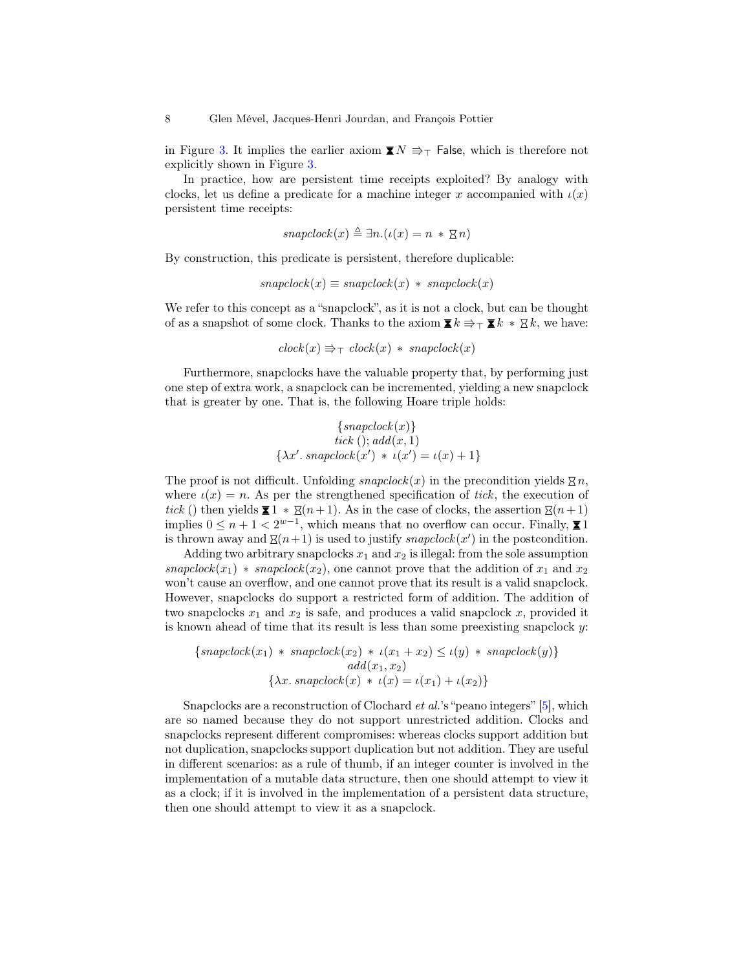in Figure [3.](#page-6-0) It implies the earlier axiom  $\blacksquare N \Rightarrow_{\top}$  False, which is therefore not explicitly shown in Figure [3.](#page-6-0)

In practice, how are persistent time receipts exploited? By analogy with clocks, let us define a predicate for a machine integer x accompanied with  $\iota(x)$ persistent time receipts:

$$
snapclock(x) \triangleq \exists n.(\iota(x) = n * \boxtimes n)
$$

By construction, this predicate is persistent, therefore duplicable:

$$
snapclock(x) \equiv snapshot(x) * snapshot(x)
$$

We refer to this concept as a "snapclock", as it is not a clock, but can be thought of as a snapshot of some clock. Thanks to the axiom  $\mathbf{\Sigma} k \Rightarrow_{\top} \mathbf{\Sigma} k * \mathbb{E} k$ , we have:

$$
clock(x) \Rightarrow \tau clock(x) * snapclock(x)
$$

Furthermore, snapclocks have the valuable property that, by performing just one step of extra work, a snapclock can be incremented, yielding a new snapclock that is greater by one. That is, the following Hoare triple holds:

{
$$
{\begin{aligned}\n\{snapclock(x)\} \\
tick (); add(x,1) \\
\{\lambda x'.\,snapclock(x') * \iota(x') = \iota(x) + 1\}\n\end{aligned}}
$$

The proof is not difficult. Unfolding snapclock(x) in the precondition yields  $\mathbb{Z} n$ , where  $\iota(x) = n$ . As per the strengthened specification of tick, the execution of tick () then yields  $\mathbf{X} \cdot \mathbb{X}(n+1)$ . As in the case of clocks, the assertion  $\mathbb{X}(n+1)$ implies  $0 \leq n+1 < 2^{w-1}$ , which means that no overflow can occur. Finally,  $\mathbf{\Sigma} 1$ is thrown away and  $\mathbb{E}(n+1)$  is used to justify snapclock $(x')$  in the postcondition.

Adding two arbitrary snapclocks  $x_1$  and  $x_2$  is illegal: from the sole assumption snapclock(x<sub>1</sub>) \* snapclock(x<sub>2</sub>), one cannot prove that the addition of x<sub>1</sub> and x<sub>2</sub> won't cause an overflow, and one cannot prove that its result is a valid snapclock. However, snapclocks do support a restricted form of addition. The addition of two snapclocks  $x_1$  and  $x_2$  is safe, and produces a valid snapclock x, provided it is known ahead of time that its result is less than some preexisting snapclock  $y$ :

$$
\{snapclock(x_1) * snapclock(x_2) * \iota(x_1 + x_2) \le \iota(y) * snapclock(y)\}
$$

$$
add(x_1, x_2)
$$

$$
\{\lambda x. snapclock(x) * \iota(x) = \iota(x_1) + \iota(x_2)\}
$$

Snapclocks are a reconstruction of Clochard et al.'s "peano integers" [\[5\]](#page-24-3), which are so named because they do not support unrestricted addition. Clocks and snapclocks represent different compromises: whereas clocks support addition but not duplication, snapclocks support duplication but not addition. They are useful in different scenarios: as a rule of thumb, if an integer counter is involved in the implementation of a mutable data structure, then one should attempt to view it as a clock; if it is involved in the implementation of a persistent data structure, then one should attempt to view it as a snapclock.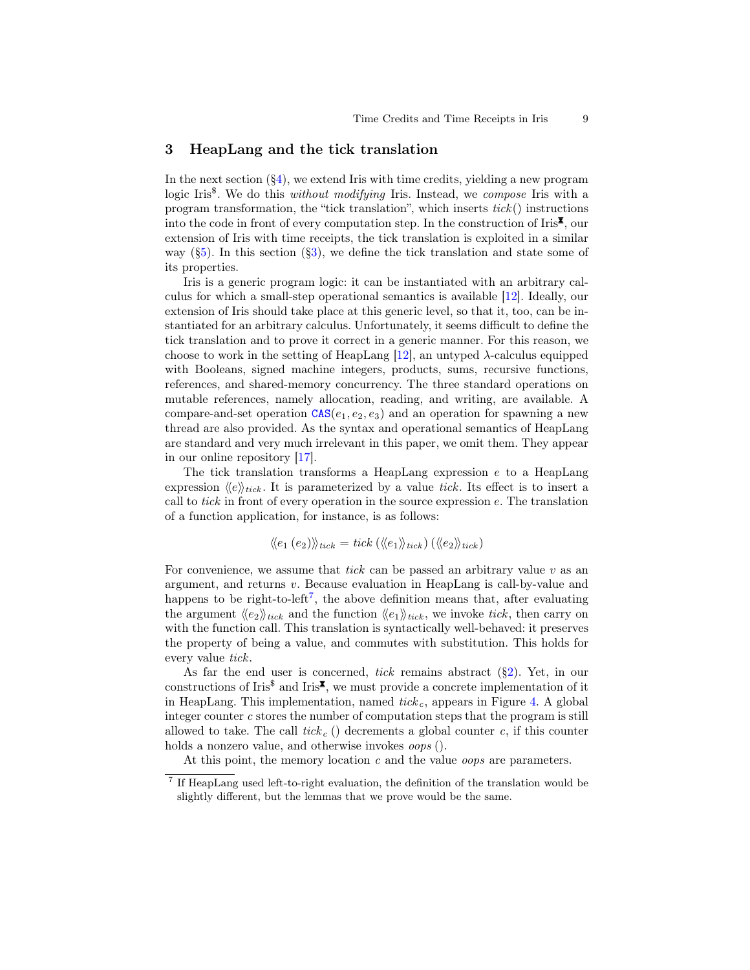# <span id="page-8-0"></span>3 HeapLang and the tick translation

In the next section  $(\S_4)$ , we extend Iris with time credits, yielding a new program logic Iris<sup>\$</sup>. We do this *without modifying* Iris. Instead, we *compose* Iris with a program transformation, the "tick translation", which inserts tick() instructions into the code in front of every computation step. In the construction of Iris<sup> $\overline{z}$ </sup>, our extension of Iris with time receipts, the tick translation is exploited in a similar way ([§5\)](#page-12-0). In this section ([§3\)](#page-8-0), we define the tick translation and state some of its properties.

Iris is a generic program logic: it can be instantiated with an arbitrary calculus for which a small-step operational semantics is available [\[12\]](#page-25-3). Ideally, our extension of Iris should take place at this generic level, so that it, too, can be instantiated for an arbitrary calculus. Unfortunately, it seems difficult to define the tick translation and to prove it correct in a generic manner. For this reason, we choose to work in the setting of HeapLang [\[12\]](#page-25-3), an untyped  $\lambda$ -calculus equipped with Booleans, signed machine integers, products, sums, recursive functions, references, and shared-memory concurrency. The three standard operations on mutable references, namely allocation, reading, and writing, are available. A compare-and-set operation  $CAS(e_1, e_2, e_3)$  and an operation for spawning a new thread are also provided. As the syntax and operational semantics of HeapLang are standard and very much irrelevant in this paper, we omit them. They appear in our online repository [\[17\]](#page-25-6).

The tick translation transforms a HeapLang expression  $e$  to a HeapLang expression  $\langle\!\langle e \rangle\!\rangle_{tick}$ . It is parameterized by a value tick. Its effect is to insert a call to tick in front of every operation in the source expression  $e$ . The translation of a function application, for instance, is as follows:

$$
\langle e_1 (e_2) \rangle_{tick} = tick (\langle \langle e_1 \rangle_{tick}) (\langle \langle e_2 \rangle_{tick})
$$

For convenience, we assume that  $tick$  can be passed an arbitrary value  $v$  as an argument, and returns v. Because evaluation in HeapLang is call-by-value and happens to be right-to-left<sup>[7](#page-8-1)</sup>, the above definition means that, after evaluating the argument  $\langle\langle e_2\rangle\rangle_{tick}$  and the function  $\langle\langle e_1\rangle\rangle_{tick}$ , we invoke tick, then carry on with the function call. This translation is syntactically well-behaved: it preserves the property of being a value, and commutes with substitution. This holds for every value tick.

As far the end user is concerned, tick remains abstract  $(\S_2)$ . Yet, in our constructions of Iris<sup>\$</sup> and Iris<sup> $\overline{z}$ </sup>, we must provide a concrete implementation of it in HeapLang. This implementation, named  $tick<sub>c</sub>$ , appears in Figure [4.](#page-9-0) A global integer counter c stores the number of computation steps that the program is still allowed to take. The call  $tick_{c}$  () decrements a global counter c, if this counter holds a nonzero value, and otherwise invokes *oops* ().

At this point, the memory location  $c$  and the value  $\omega \circ \omega$  are parameters.

<span id="page-8-1"></span><sup>7</sup> If HeapLang used left-to-right evaluation, the definition of the translation would be slightly different, but the lemmas that we prove would be the same.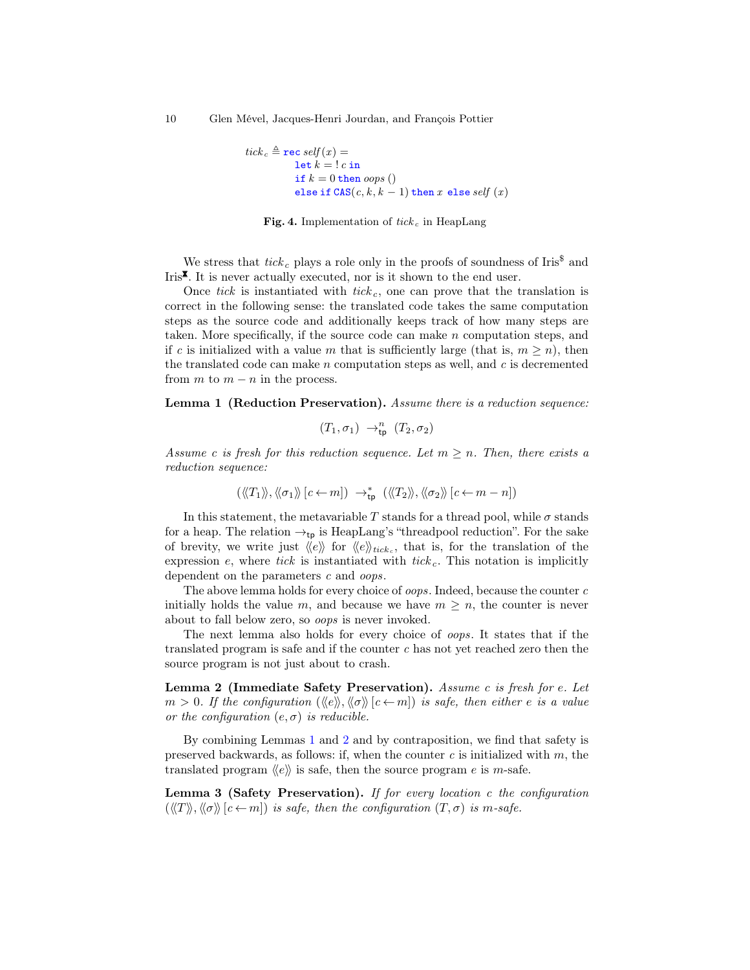$tick_c \triangleq \text{rec} self(x) =$  $\text{let } k = ! c \text{ in}$ if  $k = 0$  then  $\omega$ ops () else if  $CAS(c, k, k - 1)$  then x else self  $(x)$ 

<span id="page-9-0"></span>Fig. 4. Implementation of  $tick<sub>c</sub>$  in HeapLang

We stress that  $tick<sub>c</sub>$  plays a role only in the proofs of soundness of Iris<sup>\$</sup> and Iris<sup> $\overline{\mathbf{z}}$ </sup>. It is never actually executed, nor is it shown to the end user.

Once tick is instantiated with tick<sub>c</sub>, one can prove that the translation is correct in the following sense: the translated code takes the same computation steps as the source code and additionally keeps track of how many steps are taken. More specifically, if the source code can make  $n$  computation steps, and if c is initialized with a value m that is sufficiently large (that is,  $m \geq n$ ), then the translated code can make  $n$  computation steps as well, and  $c$  is decremented from m to  $m - n$  in the process.

<span id="page-9-1"></span>Lemma 1 (Reduction Preservation). Assume there is a reduction sequence:

$$
(T_1, \sigma_1) \rightarrow_{\mathsf{tp}}^n (T_2, \sigma_2)
$$

Assume c is fresh for this reduction sequence. Let  $m \geq n$ . Then, there exists a reduction sequence:

$$
(\langle\!\langle T_1\rangle\!\rangle, \langle\!\langle \sigma_1\rangle\!\rangle [c \leftarrow m]) \rightarrow_{\mathsf{tp}}^* (\langle\!\langle T_2\rangle\!\rangle, \langle\!\langle \sigma_2\rangle\!\rangle [c \leftarrow m - n])
$$

In this statement, the metavariable T stands for a thread pool, while  $\sigma$  stands for a heap. The relation  $\rightarrow_{\text{tp}}$  is HeapLang's "threadpool reduction". For the sake of brevity, we write just  $\langle e \rangle$  for  $\langle e \rangle$ <sub>tickc</sub>, that is, for the translation of the expression  $e$ , where tick is instantiated with tick<sub>c</sub>. This notation is implicitly dependent on the parameters c and *oops*.

The above lemma holds for every choice of  $\omega$ ps. Indeed, because the counter  $c$ initially holds the value m, and because we have  $m \geq n$ , the counter is never about to fall below zero, so oops is never invoked.

The next lemma also holds for every choice of oops. It states that if the translated program is safe and if the counter  $c$  has not yet reached zero then the source program is not just about to crash.

<span id="page-9-2"></span>Lemma 2 (Immediate Safety Preservation). Assume c is fresh for e. Let  $m > 0$ . If the configuration  $(\langle e \rangle, \langle \langle \sigma \rangle \rangle | c \langle \sigma \rangle)$  is safe, then either e is a value or the configuration  $(e, \sigma)$  is reducible.

By combining Lemmas [1](#page-9-1) and [2](#page-9-2) and by contraposition, we find that safety is preserved backwards, as follows: if, when the counter  $c$  is initialized with  $m$ , the translated program  $\langle e \rangle$  is safe, then the source program e is m-safe.

<span id="page-9-3"></span>Lemma 3 (Safety Preservation). If for every location c the configuration  $(\langle T \rangle, \langle \langle \sigma \rangle \rangle | c \leftarrow m)$  is safe, then the configuration  $(T, \sigma)$  is m-safe.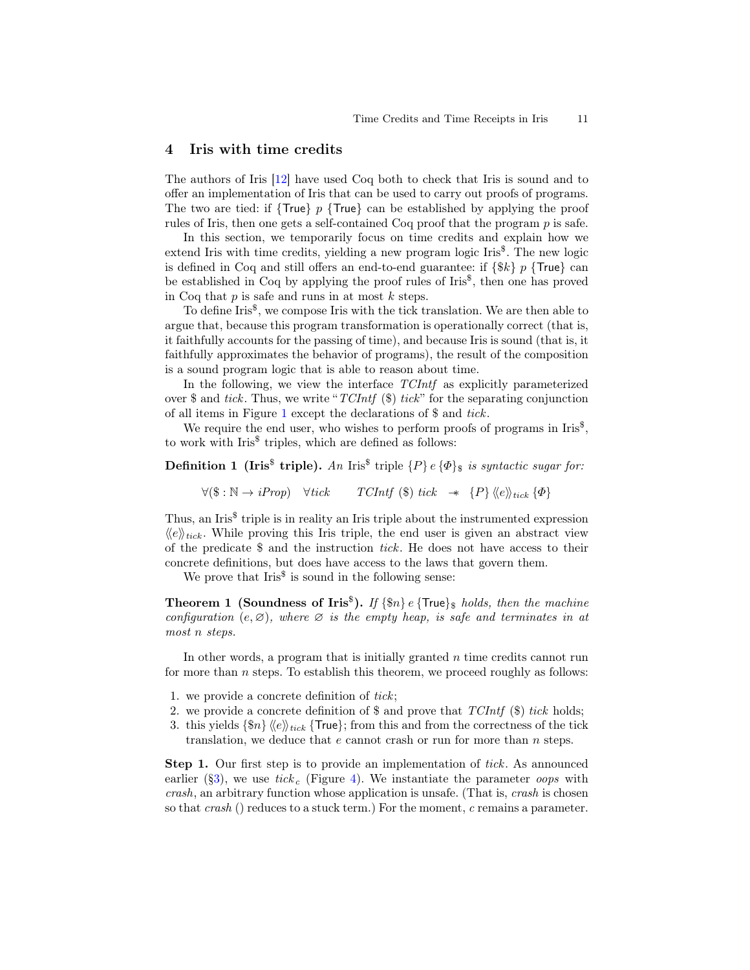### <span id="page-10-0"></span>4 Iris with time credits

The authors of Iris [\[12\]](#page-25-3) have used Coq both to check that Iris is sound and to offer an implementation of Iris that can be used to carry out proofs of programs. The two are tied: if  $\{True\}$  p  $\{True\}$  can be established by applying the proof rules of Iris, then one gets a self-contained Coq proof that the program  $p$  is safe.

In this section, we temporarily focus on time credits and explain how we extend Iris with time credits, yielding a new program logic Iris<sup>\$</sup>. The new logic is defined in Coq and still offers an end-to-end guarantee: if  $\{\$\kappa\}$  p  $\{\text{True}\}\$ can be established in Coq by applying the proof rules of Iris<sup>\$</sup>, then one has proved in Coq that  $p$  is safe and runs in at most  $k$  steps.

To define Iris<sup>\$</sup>, we compose Iris with the tick translation. We are then able to argue that, because this program transformation is operationally correct (that is, it faithfully accounts for the passing of time), and because Iris is sound (that is, it faithfully approximates the behavior of programs), the result of the composition is a sound program logic that is able to reason about time.

In the following, we view the interface  $TClntf$  as explicitly parameterized over \$ and tick. Thus, we write " $TClntf$  (\$) tick" for the separating conjunction of all items in Figure [1](#page-3-0) except the declarations of \$ and tick.

We require the end user, who wishes to perform proofs of programs in  $Iris<sup>§</sup>$ , to work with Iris<sup>\$</sup> triples, which are defined as follows:

**Definition 1 (Iris<sup>\$</sup> triple).** An Iris<sup>\$</sup> triple  $\{P\}$  e  $\{\Phi\}$ s is syntactic sugar for:

<span id="page-10-2"></span> $\forall (\$ : \mathbb{N} \rightarrow iProp) \quad \forall tick \quad TClntf (\$) tick \rightarrow \{P\} \langle \langle e \rangle \rangle_{tick} \{\Phi\}$ 

Thus, an Iris<sup>\$</sup> triple is in reality an Iris triple about the instrumented expression  $\langle\!\langle e \rangle\!\rangle_{tick}$ . While proving this Iris triple, the end user is given an abstract view of the predicate \$ and the instruction tick. He does not have access to their concrete definitions, but does have access to the laws that govern them.

We prove that  $Iris<sup>§</sup>$  is sound in the following sense:

<span id="page-10-1"></span>Theorem 1 (Soundness of Iris<sup>§</sup>). If  $\{\$n\}$ e  $\{\mathsf{True}\}_\$$  holds, then the machine configuration  $(e, \emptyset)$ , where  $\emptyset$  is the empty heap, is safe and terminates in at most n steps.

In other words, a program that is initially granted  $n$  time credits cannot run for more than  $n$  steps. To establish this theorem, we proceed roughly as follows:

- 1. we provide a concrete definition of tick;
- 2. we provide a concrete definition of \$ and prove that  $TClntf$  (\$) tick holds;
- 3. this yields  $\{\Re n\} \langle\!\langle e \rangle\!\rangle_{tick}$  {True}; from this and from the correctness of the tick translation, we deduce that  $e$  cannot crash or run for more than  $n$  steps.

Step 1. Our first step is to provide an implementation of tick. As announced earlier ([§3\)](#page-8-0), we use tick<sub>c</sub> (Figure [4\)](#page-9-0). We instantiate the parameter *oops* with crash, an arbitrary function whose application is unsafe. (That is, crash is chosen so that  $crash()$  reduces to a stuck term.) For the moment, c remains a parameter.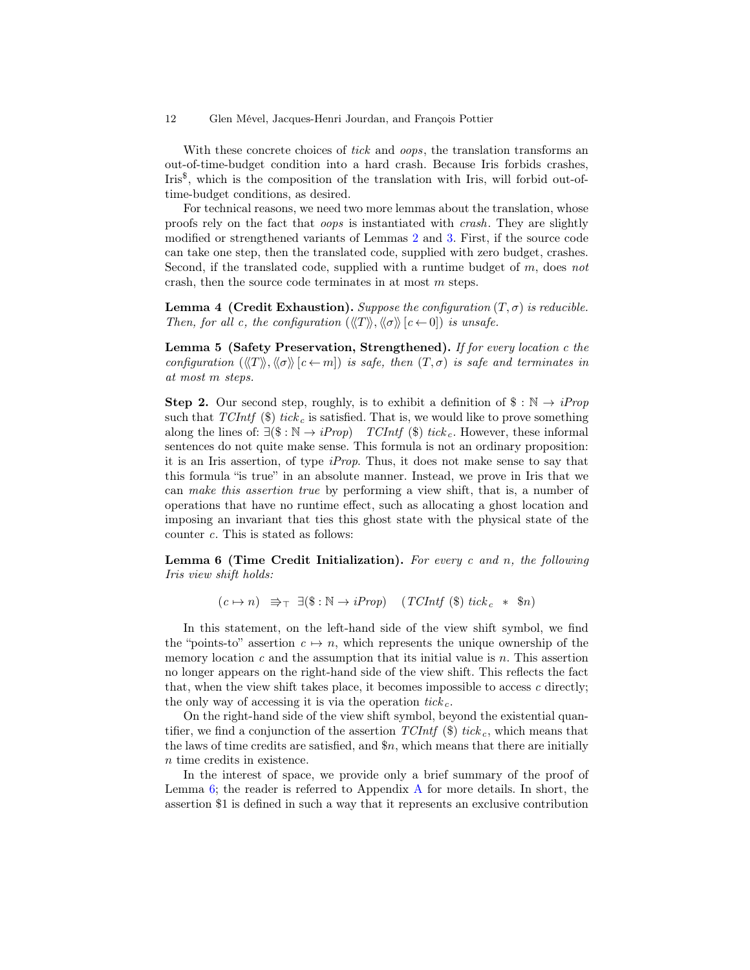With these concrete choices of *tick* and *oops*, the translation transforms an out-of-time-budget condition into a hard crash. Because Iris forbids crashes, Iris<sup>\$</sup>, which is the composition of the translation with Iris, will forbid out-oftime-budget conditions, as desired.

For technical reasons, we need two more lemmas about the translation, whose proofs rely on the fact that oops is instantiated with crash. They are slightly modified or strengthened variants of Lemmas [2](#page-9-2) and [3.](#page-9-3) First, if the source code can take one step, then the translated code, supplied with zero budget, crashes. Second, if the translated code, supplied with a runtime budget of  $m$ , does not crash, then the source code terminates in at most m steps.

**Lemma 4 (Credit Exhaustion).** Suppose the configuration  $(T, \sigma)$  is reducible. Then, for all c, the configuration  $(\langle T \rangle, \langle \sigma \rangle | c \leftarrow 0)$  is unsafe.

<span id="page-11-1"></span>Lemma 5 (Safety Preservation, Strengthened). If for every location c the configuration  $(\langle T \rangle, \langle \sigma \rangle | c \leftarrow m)$  is safe, then  $(T, \sigma)$  is safe and terminates in at most m steps.

**Step 2.** Our second step, roughly, is to exhibit a definition of  $\mathcal{F}: \mathbb{N} \to iProp$ such that  $TClntf$  (\$) tick<sub>c</sub> is satisfied. That is, we would like to prove something along the lines of:  $\exists (\$\colon\mathbb{N}\to iProp)$  TCIntf (\\\\\) tick c. However, these informal sentences do not quite make sense. This formula is not an ordinary proposition: it is an Iris assertion, of type  $iProp$ . Thus, it does not make sense to say that this formula "is true" in an absolute manner. Instead, we prove in Iris that we can make this assertion true by performing a view shift, that is, a number of operations that have no runtime effect, such as allocating a ghost location and imposing an invariant that ties this ghost state with the physical state of the counter c. This is stated as follows:

<span id="page-11-0"></span>**Lemma 6 (Time Credit Initialization).** For every c and n, the following Iris view shift holds:

 $(c \mapsto n) \implies \exists (\$ : \mathbb{N} \to iProp) \quad (TClntf (\$) tick_c * \$n)$ 

In this statement, on the left-hand side of the view shift symbol, we find the "points-to" assertion  $c \mapsto n$ , which represents the unique ownership of the memory location c and the assumption that its initial value is  $n$ . This assertion no longer appears on the right-hand side of the view shift. This reflects the fact that, when the view shift takes place, it becomes impossible to access  $c$  directly; the only way of accessing it is via the operation  $tick<sub>c</sub>$ .

On the right-hand side of the view shift symbol, beyond the existential quantifier, we find a conjunction of the assertion  $TClntf$  (\$) tick<sub>c</sub>, which means that the laws of time credits are satisfied, and  $\hat{\mathbb{S}}n$ , which means that there are initially n time credits in existence.

In the interest of space, we provide only a brief summary of the proof of Lemma [6;](#page-11-0) the reader is referred to Appendix [A](#page-25-7) for more details. In short, the assertion \$1 is defined in such a way that it represents an exclusive contribution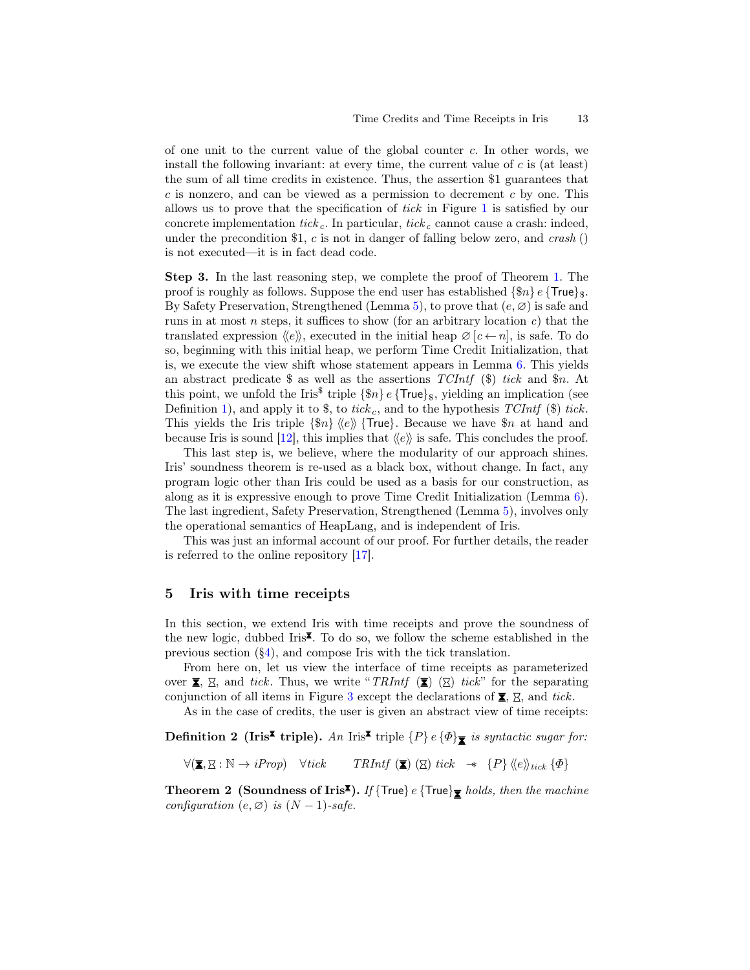of one unit to the current value of the global counter c. In other words, we install the following invariant: at every time, the current value of  $c$  is (at least) the sum of all time credits in existence. Thus, the assertion \$1 guarantees that  $c$  is nonzero, and can be viewed as a permission to decrement  $c$  by one. This allows us to prove that the specification of tick in Figure [1](#page-3-0) is satisfied by our concrete implementation tick<sub>c</sub>. In particular, tick<sub>c</sub> cannot cause a crash: indeed, under the precondition \$1, c is not in danger of falling below zero, and crash () is not executed—it is in fact dead code.

Step 3. In the last reasoning step, we complete the proof of Theorem [1.](#page-10-1) The proof is roughly as follows. Suppose the end user has established  $\{\Re n\} e$  {True}<sub>\$</sub>. By Safety Preservation, Strengthened (Lemma [5\)](#page-11-1), to prove that  $(e, \varnothing)$  is safe and runs in at most  $n$  steps, it suffices to show (for an arbitrary location  $c$ ) that the translated expression  $\langle\langle e \rangle\rangle$ , executed in the initial heap  $\mathcal{O}[\epsilon \leftarrow n]$ , is safe. To do so, beginning with this initial heap, we perform Time Credit Initialization, that is, we execute the view shift whose statement appears in Lemma  $6$ . This yields an abstract predicate  $\$  as well as the assertions  $TClntf$  ( $\)$  tick and  $\$ n. At this point, we unfold the Iris<sup>\$</sup> triple { $\Re$ ) e { $\text{True}$ }<sub>\$</sub>, yielding an implication (see Definition [1\)](#page-10-2), and apply it to  $\$, to tick<sub>c</sub>, and to the hypothesis *TClntf* (\$) *tick*.$ This yields the Iris triple  $\{\Re n\}$   $\langle\!\langle e \rangle\!\rangle$  {True}. Because we have  $\Re n$  at hand and because Iris is sound [\[12\]](#page-25-3), this implies that  $\langle\langle e \rangle\rangle$  is safe. This concludes the proof.

This last step is, we believe, where the modularity of our approach shines. Iris' soundness theorem is re-used as a black box, without change. In fact, any program logic other than Iris could be used as a basis for our construction, as along as it is expressive enough to prove Time Credit Initialization (Lemma [6\)](#page-11-0). The last ingredient, Safety Preservation, Strengthened (Lemma [5\)](#page-11-1), involves only the operational semantics of HeapLang, and is independent of Iris.

This was just an informal account of our proof. For further details, the reader is referred to the online repository [\[17\]](#page-25-6).

#### <span id="page-12-0"></span>5 Iris with time receipts

In this section, we extend Iris with time receipts and prove the soundness of the new logic, dubbed Iris<sup> $\overline{z}$ </sup>. To do so, we follow the scheme established in the previous section ([§4\)](#page-10-0), and compose Iris with the tick translation.

From here on, let us view the interface of time receipts as parameterized over  $\mathbf{\Sigma}$ ,  $\mathbb{Z}$ , and tick. Thus, we write "TRIntf  $(\mathbf{\Sigma})$  ( $\mathbb{Z}$ ) tick" for the separating conjunction of all items in Figure [3](#page-6-0) except the declarations of  $\mathbf{\Sigma}, \Sigma$ , and tick.

As in the case of credits, the user is given an abstract view of time receipts:

<span id="page-12-2"></span>Definition 2 (Iris<sup> $\bar{\bm{z}}$ </sup> triple). An Iris<sup> $\bar{\bm{z}}$ </sup> triple  $\{P\}$  e  $\{\Phi\}_{\bar{\bm{z}}}$  is syntactic sugar for:

 $\forall (\mathbf{\Sigma}, \mathbb{X} : \mathbb{N} \to iProp) \quad \forall tick \quad \text{TRIntf } (\mathbf{\Sigma}) \ (\mathbb{X}) \ tick \rightarrow \ \{P\} \ \langle\!\langle e \rangle\!\rangle_{tick} \ \{\Phi\}$ 

<span id="page-12-1"></span>Theorem 2 (Soundness of Iris<sup>1</sup>). If {True} e {True} $\frac{1}{2}$  holds, then the machine configuration  $(e, \emptyset)$  is  $(N-1)$ -safe.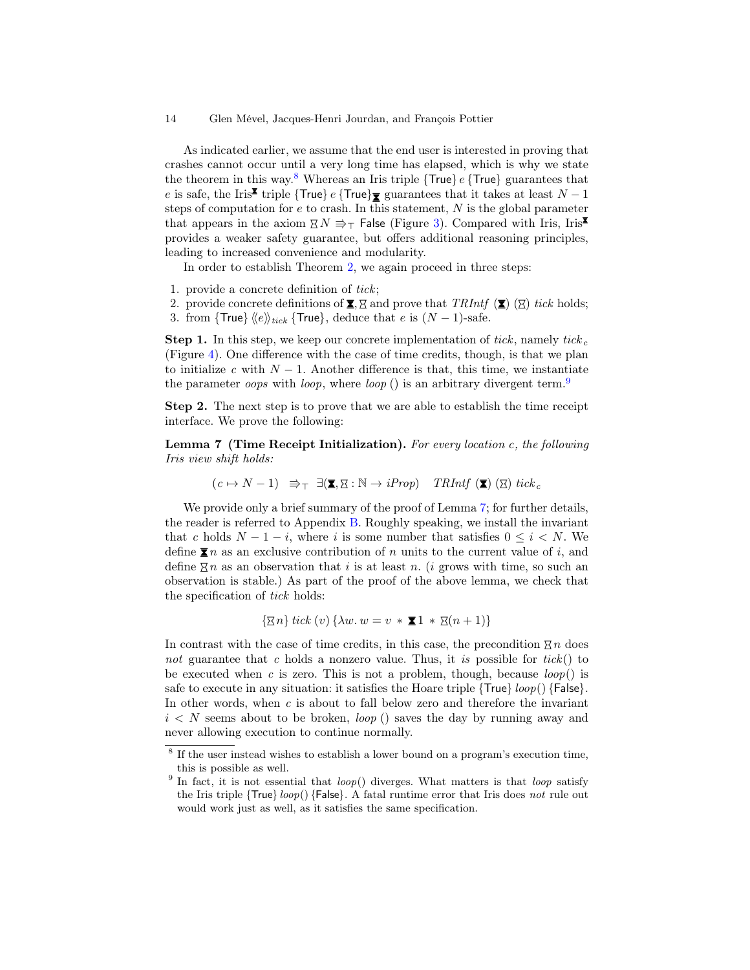As indicated earlier, we assume that the end user is interested in proving that crashes cannot occur until a very long time has elapsed, which is why we state the theorem in this way.<sup>[8](#page-13-0)</sup> Whereas an Iris triple { $True$ }  $e$  { $True$ } guarantees that e is safe, the Iris<sup> $\bar{z}$ </sup> triple {True} e {True} $\bar{z}$  guarantees that it takes at least  $N-1$ steps of computation for e to crash. In this statement, N is the global parameter that appears in the axiom  $\overline{X}N \Rightarrow_{\overline{1}}$  False (Figure [3\)](#page-6-0). Compared with Iris, Iris<sup> $\overline{z}$ </sup> provides a weaker safety guarantee, but offers additional reasoning principles, leading to increased convenience and modularity.

In order to establish Theorem [2,](#page-12-1) we again proceed in three steps:

- 1. provide a concrete definition of tick;
- 2. provide concrete definitions of  $\mathbf{\Sigma}$ ,  $\Xi$  and prove that  $TRIntf(\mathbf{\Sigma})$  ( $\Xi$ ) tick holds;
- 3. from {True}  $\langle e \rangle_{tick}$  {True}, deduce that e is  $(N-1)$ -safe.

**Step 1.** In this step, we keep our concrete implementation of tick, namely tick. (Figure [4\)](#page-9-0). One difference with the case of time credits, though, is that we plan to initialize c with  $N-1$ . Another difference is that, this time, we instantiate the parameter *oops* with *loop*, where *loop* () is an arbitrary divergent term.<sup>[9](#page-13-1)</sup>

Step 2. The next step is to prove that we are able to establish the time receipt interface. We prove the following:

<span id="page-13-2"></span>**Lemma 7 (Time Receipt Initialization).** For every location  $c$ , the following Iris view shift holds:

$$
(c \mapsto N - 1) \Rightarrow_{\top} \exists (\mathbf{\Sigma}, \mathbf{\Sigma} : \mathbb{N} \to iProp) \quad \text{TRIntf } (\mathbf{\Sigma}) \text{ (}\mathbf{\Sigma}) \text{ } tick_c
$$

We provide only a brief summary of the proof of Lemma [7;](#page-13-2) for further details, the reader is referred to Appendix [B.](#page-26-0) Roughly speaking, we install the invariant that c holds  $N - 1 - i$ , where i is some number that satisfies  $0 \le i \le N$ . We define  $\mathbf{\Sigma} n$  as an exclusive contribution of n units to the current value of i, and define  $\sum n$  as an observation that i is at least n. (i grows with time, so such an observation is stable.) As part of the proof of the above lemma, we check that the specification of tick holds:

$$
\{\mathbb{Z}n\}\,\text{tick}\,(v)\,\{\lambda w.\,w = v \, \ast \, \blacksquare 1 \, \ast \, \mathbb{Z}(n+1)\}
$$

In contrast with the case of time credits, in this case, the precondition  $\mathbb{Z} n$  does not guarantee that c holds a nonzero value. Thus, it is possible for  $tick()$  to be executed when c is zero. This is not a problem, though, because  $loop()$  is safe to execute in any situation: it satisfies the Hoare triple  $\{True\}$  loop()  $\{False\}$ . In other words, when  $c$  is about to fall below zero and therefore the invariant  $i < N$  seems about to be broken, *loop* () saves the day by running away and never allowing execution to continue normally.

<span id="page-13-0"></span><sup>&</sup>lt;sup>8</sup> If the user instead wishes to establish a lower bound on a program's execution time, this is possible as well.

<span id="page-13-1"></span><sup>&</sup>lt;sup>9</sup> In fact, it is not essential that  $loop()$  diverges. What matters is that loop satisfy the Iris triple  $\{True\} loop()$   $\{False\}$ . A fatal runtime error that Iris does not rule out would work just as well, as it satisfies the same specification.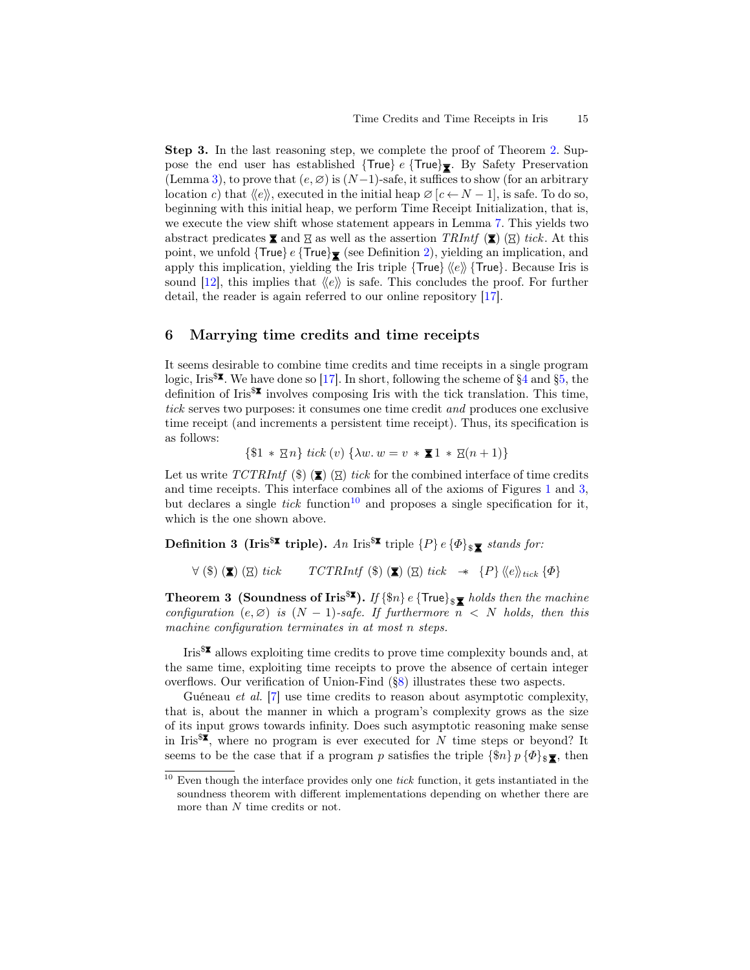Step 3. In the last reasoning step, we complete the proof of Theorem [2.](#page-12-1) Suppose the end user has established  $\{True\} e \{True\} \nightharpoondown$ . By Safety Preservation (Lemma [3\)](#page-9-3), to prove that  $(e, \emptyset)$  is  $(N-1)$ -safe, it suffices to show (for an arbitrary location c) that  $\langle\langle e \rangle\rangle$ , executed in the initial heap  $\varnothing$  [c  $\leftarrow$  N – 1], is safe. To do so, beginning with this initial heap, we perform Time Receipt Initialization, that is, we execute the view shift whose statement appears in Lemma [7.](#page-13-2) This yields two abstract predicates  $\blacksquare$  and  $\boxtimes$  as well as the assertion TRIntf  $(\blacksquare)$   $(\boxtimes)$  tick. At this point, we unfold  $\{\text{True}\}\varepsilon$  {True}  $\succeq$  (see Definition [2\)](#page-12-2), yielding an implication, and apply this implication, yielding the Iris triple  $\{\text{True}\}\langle\langle e \rangle\rangle$   $\{\text{True}\}\rangle$ . Because Iris is sound [\[12\]](#page-25-3), this implies that  $\langle e \rangle$  is safe. This concludes the proof. For further detail, the reader is again referred to our online repository [\[17\]](#page-25-6).

## <span id="page-14-0"></span>6 Marrying time credits and time receipts

It seems desirable to combine time credits and time receipts in a single program logic, Iris<sup>\$</sup>**Z**. We have done so [\[17\]](#page-25-6). In short, following the scheme of [§4](#page-10-0) and [§5,](#page-12-0) the definition of Iris<sup>\$</sup> $\overline{\bullet}$  involves composing Iris with the tick translation. This time, tick serves two purposes: it consumes one time credit and produces one exclusive time receipt (and increments a persistent time receipt). Thus, its specification is as follows:

 ${\$1 * \boxtimes n\}$  tick (v)  $\{\lambda w \cdot w = v * \blacksquare 1 * \boxtimes (n+1)\}$ 

Let us write  $TCTRIntf(\mathcal{F})(\mathbf{\Sigma})$  ( $\chi$ ) tick for the combined interface of time credits and time receipts. This interface combines all of the axioms of Figures [1](#page-3-0) and [3,](#page-6-0) but declares a single *tick* function<sup>[10](#page-14-1)</sup> and proposes a single specification for it, which is the one shown above.

Definition 3 (Iris<sup>\$7</sup> triple). An Iris<sup>\$7</sup> triple  ${P}$  e  ${\Phi}_{s}$  stands for:

 $\forall$  (\$) ( $\mathbf{\Sigma}$ )  $(\mathbf{\Sigma})$  tick TCTRIntf (\$) ( $\mathbf{\Sigma}$ )  $(\mathbf{\Sigma})$  tick  $\rightarrow$   $\{P\} \langle\!\langle e \rangle\!\rangle_{tick} \{\Phi\}$ 

<span id="page-14-2"></span>Theorem 3 (Soundness of Iris<sup>\$1</sup>). If  $\{\$n\}$  e  $\{\mathsf{True}\}_\$$  is holds then the machine configuration  $(e, \varnothing)$  is  $(N-1)$ -safe. If furthermore  $\overline{n} \leq N$  holds, then this machine configuration terminates in at most n steps.

Iris $\mathbb{S}^{\mathbb{Z}}$  allows exploiting time credits to prove time complexity bounds and, at the same time, exploiting time receipts to prove the absence of certain integer overflows. Our verification of Union-Find ([§8\)](#page-19-0) illustrates these two aspects.

Guéneau et al. [\[7\]](#page-25-8) use time credits to reason about asymptotic complexity, that is, about the manner in which a program's complexity grows as the size of its input grows towards infinity. Does such asymptotic reasoning make sense in Iris<sup>\$7</sup>, where no program is ever executed for N time steps or beyond? It seems to be the case that if a program p satisfies the triple  $\{\Re n\} p \{\Phi\}_{\mathcal{S}\Sigma}$ , then

<span id="page-14-1"></span> $\frac{10}{10}$  Even though the interface provides only one tick function, it gets instantiated in the soundness theorem with different implementations depending on whether there are more than N time credits or not.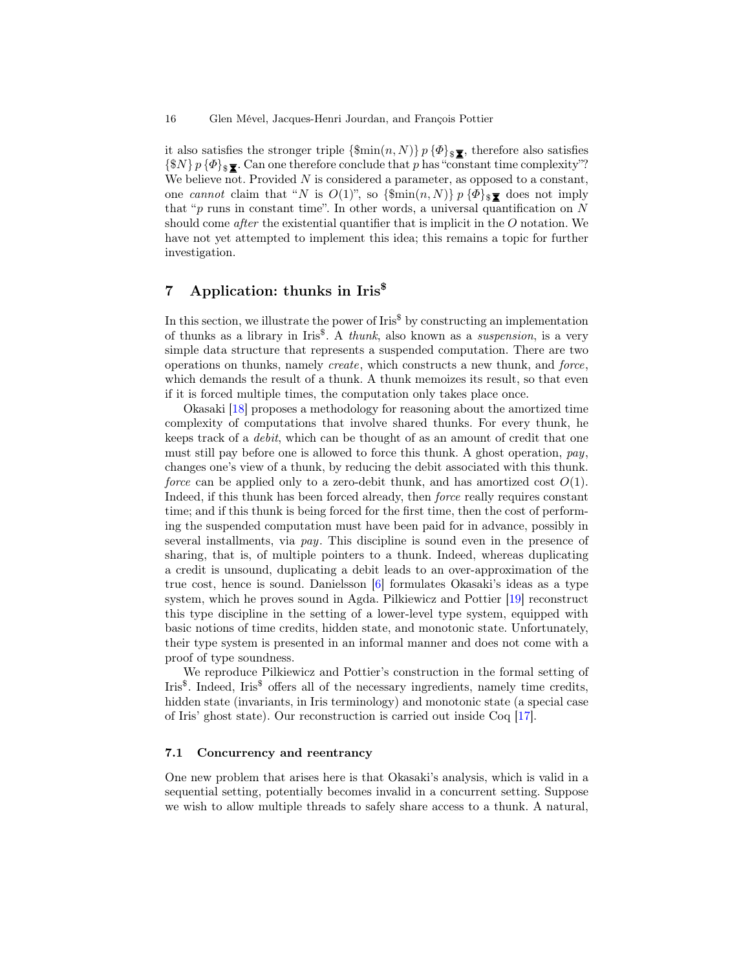it also satisfies the stronger triple  ${\{ \text{Smin}(n, N) \} p \{ \Phi \}}$ , therefore also satisfies  ${\mathbb S}{N}$  p  ${\phi}_{\mathbf{s}}$ . Can one therefore conclude that p has "constant time complexity"? We believe not. Provided  $N$  is considered a parameter, as opposed to a constant, one cannot claim that "N is  $O(1)$ ", so  ${\text{Smin}(n, N)} p {\varphi}_{s \mathbf{\Sigma}}$  does not imply that "p runs in constant time". In other words, a universal quantification on  $N$ should come after the existential quantifier that is implicit in the O notation. We have not yet attempted to implement this idea; this remains a topic for further investigation.

# 7 Application: thunks in Iris\$

In this section, we illustrate the power of Iris<sup> $\$$ </sup> by constructing an implementation of thunks as a library in Iris<sup>§</sup>. A *thunk*, also known as a *suspension*, is a very simple data structure that represents a suspended computation. There are two operations on thunks, namely create, which constructs a new thunk, and force, which demands the result of a thunk. A thunk memoizes its result, so that even if it is forced multiple times, the computation only takes place once.

Okasaki [\[18\]](#page-25-5) proposes a methodology for reasoning about the amortized time complexity of computations that involve shared thunks. For every thunk, he keeps track of a debit, which can be thought of as an amount of credit that one must still pay before one is allowed to force this thunk. A ghost operation, pay, changes one's view of a thunk, by reducing the debit associated with this thunk. force can be applied only to a zero-debit thunk, and has amortized cost  $O(1)$ . Indeed, if this thunk has been forced already, then force really requires constant time; and if this thunk is being forced for the first time, then the cost of performing the suspended computation must have been paid for in advance, possibly in several installments, via pay. This discipline is sound even in the presence of sharing, that is, of multiple pointers to a thunk. Indeed, whereas duplicating a credit is unsound, duplicating a debit leads to an over-approximation of the true cost, hence is sound. Danielsson [\[6\]](#page-25-9) formulates Okasaki's ideas as a type system, which he proves sound in Agda. Pilkiewicz and Pottier [\[19\]](#page-25-10) reconstruct this type discipline in the setting of a lower-level type system, equipped with basic notions of time credits, hidden state, and monotonic state. Unfortunately, their type system is presented in an informal manner and does not come with a proof of type soundness.

We reproduce Pilkiewicz and Pottier's construction in the formal setting of Iris<sup>\$</sup>. Indeed, Iris<sup>\$</sup> offers all of the necessary ingredients, namely time credits, hidden state (invariants, in Iris terminology) and monotonic state (a special case of Iris' ghost state). Our reconstruction is carried out inside Coq [\[17\]](#page-25-6).

### <span id="page-15-0"></span>7.1 Concurrency and reentrancy

One new problem that arises here is that Okasaki's analysis, which is valid in a sequential setting, potentially becomes invalid in a concurrent setting. Suppose we wish to allow multiple threads to safely share access to a thunk. A natural,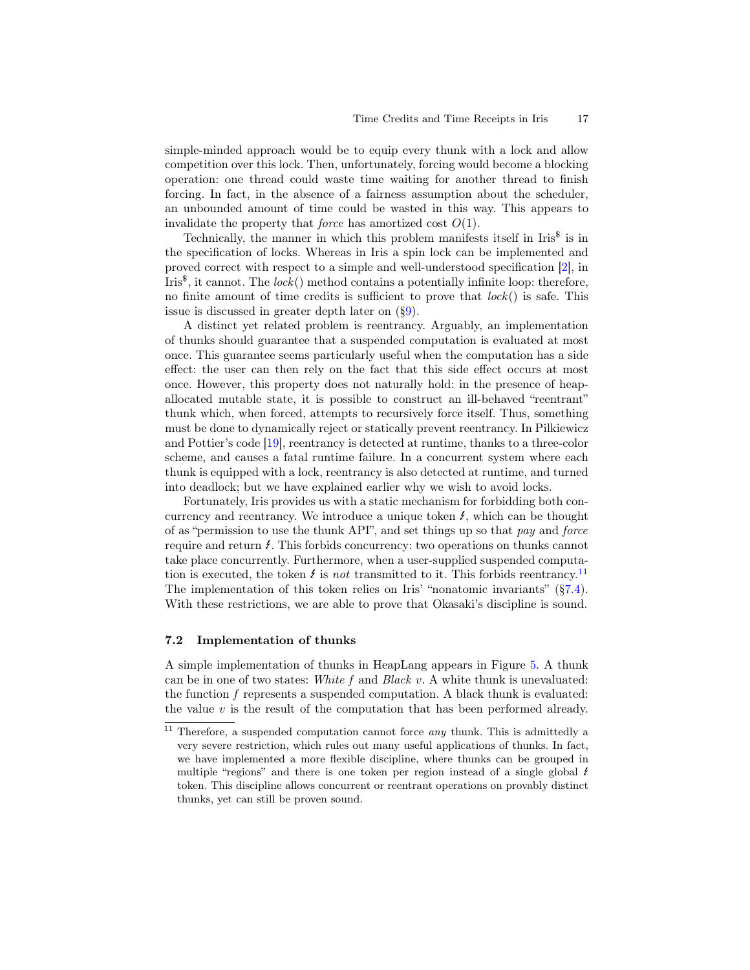simple-minded approach would be to equip every thunk with a lock and allow competition over this lock. Then, unfortunately, forcing would become a blocking operation: one thread could waste time waiting for another thread to finish forcing. In fact, in the absence of a fairness assumption about the scheduler, an unbounded amount of time could be wasted in this way. This appears to invalidate the property that *force* has amortized cost  $O(1)$ .

Technically, the manner in which this problem manifests itself in Iris<sup>§</sup> is in the specification of locks. Whereas in Iris a spin lock can be implemented and proved correct with respect to a simple and well-understood specification [\[2\]](#page-24-4), in Iris<sup>§</sup>, it cannot. The  $lock()$  method contains a potentially infinite loop: therefore, no finite amount of time credits is sufficient to prove that  $lock()$  is safe. This issue is discussed in greater depth later on ([§9\)](#page-21-0).

A distinct yet related problem is reentrancy. Arguably, an implementation of thunks should guarantee that a suspended computation is evaluated at most once. This guarantee seems particularly useful when the computation has a side effect: the user can then rely on the fact that this side effect occurs at most once. However, this property does not naturally hold: in the presence of heapallocated mutable state, it is possible to construct an ill-behaved "reentrant" thunk which, when forced, attempts to recursively force itself. Thus, something must be done to dynamically reject or statically prevent reentrancy. In Pilkiewicz and Pottier's code [\[19\]](#page-25-10), reentrancy is detected at runtime, thanks to a three-color scheme, and causes a fatal runtime failure. In a concurrent system where each thunk is equipped with a lock, reentrancy is also detected at runtime, and turned into deadlock; but we have explained earlier why we wish to avoid locks.

Fortunately, Iris provides us with a static mechanism for forbidding both concurrency and reentrancy. We introduce a unique token  $\ell$ , which can be thought of as "permission to use the thunk API", and set things up so that pay and force require and return  $\ell$ . This forbids concurrency: two operations on thunks cannot take place concurrently. Furthermore, when a user-supplied suspended computation is executed, the token  $\ell$  is not transmitted to it. This forbids reentrancy.<sup>[11](#page-16-0)</sup> The implementation of this token relies on Iris' "nonatomic invariants" ([§7.4\)](#page-18-0). With these restrictions, we are able to prove that Okasaki's discipline is sound.

#### <span id="page-16-1"></span>7.2 Implementation of thunks

A simple implementation of thunks in HeapLang appears in Figure [5.](#page-17-0) A thunk can be in one of two states: White  $f$  and Black v. A white thunk is unevaluated: the function  $f$  represents a suspended computation. A black thunk is evaluated: the value  $v$  is the result of the computation that has been performed already.

<span id="page-16-0"></span> $\frac{11}{11}$  Therefore, a suspended computation cannot force *any* thunk. This is admittedly a very severe restriction, which rules out many useful applications of thunks. In fact, we have implemented a more flexible discipline, where thunks can be grouped in multiple "regions" and there is one token per region instead of a single global  $\ell$ token. This discipline allows concurrent or reentrant operations on provably distinct thunks, yet can still be proven sound.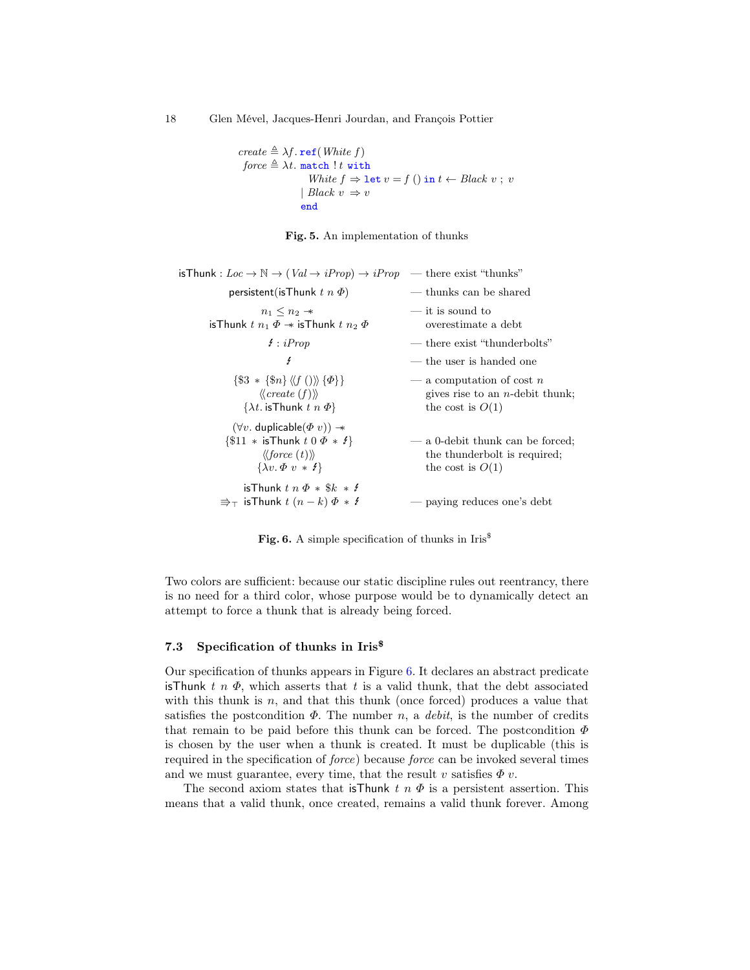create  $\triangleq \lambda f$ . **ref**(*White f*)  $force \triangleq \lambda t$ . match ! t with White  $f \Rightarrow$  let  $v = f()$  in  $t \leftarrow Black v$ ; v | Black  $v \Rightarrow v$ end

### <span id="page-17-0"></span>Fig. 5. An implementation of thunks

isThunk :  $Loc \rightarrow \mathbb{N} \rightarrow (Val \rightarrow iProp) \rightarrow iProp$  — there exist "thunks" persistent(isThunk  $t \, n \, \Phi$ )  $-$  thunks can be shared  $n_1 \leq n_2 \rightarrow$  — it is sound to isThunk  $t n_1 \Phi \rightarrow$  isThunk  $t n_2 \Phi$  overestimate a debt  $\ell : iProp$  — there exist "thunderbolts"  $\mathcal{F}$  — the user is handed one  ${\mathcal{F}}\$  \*  ${\mathcal{F}}\$   $\langle f() \rangle \{\varPhi\}$  — a computation of cost n  $\langle \langle \text{create}(f) \rangle \rangle$  gives rise to an *n*-debit thunk;  $\{\lambda t. \text{ is} \text{Think } t \text{ } n \Phi\}$  the cost is  $O(1)$  $(\forall v$ . duplicable $(\Phi v)$ ) →  ${\$11 * isThunk\ t\ 0\ \Phi * \ell\}$  — a 0-debit thunk can be forced;  $\langle \langle force (t) \rangle \rangle$  the thunderbolt is required;  $\{\lambda v \cdot \Phi v * \mathcal{E}\}$  the cost is  $O(1)$ isThunk  $t n \Phi * \$k * \ell$  $\Rightarrow$ <sub>T</sub> isThunk t  $(n - k) \Phi * I$  — paying reduces one's debt

<span id="page-17-1"></span>Fig. 6. A simple specification of thunks in  $Iris^{\$}$ 

Two colors are sufficient: because our static discipline rules out reentrancy, there is no need for a third color, whose purpose would be to dynamically detect an attempt to force a thunk that is already being forced.

## <span id="page-17-2"></span>7.3 Specification of thunks in Iris<sup>\$</sup>

Our specification of thunks appears in Figure [6.](#page-17-1) It declares an abstract predicate isThunk  $t \, n \, \Phi$ , which asserts that t is a valid thunk, that the debt associated with this thunk is  $n$ , and that this thunk (once forced) produces a value that satisfies the postcondition  $\Phi$ . The number n, a *debit*, is the number of credits that remain to be paid before this thunk can be forced. The postcondition  $\Phi$ is chosen by the user when a thunk is created. It must be duplicable (this is required in the specification of force) because force can be invoked several times and we must guarantee, every time, that the result v satisfies  $\Phi v$ .

The second axiom states that is Thunk  $t \, n \, \Phi$  is a persistent assertion. This means that a valid thunk, once created, remains a valid thunk forever. Among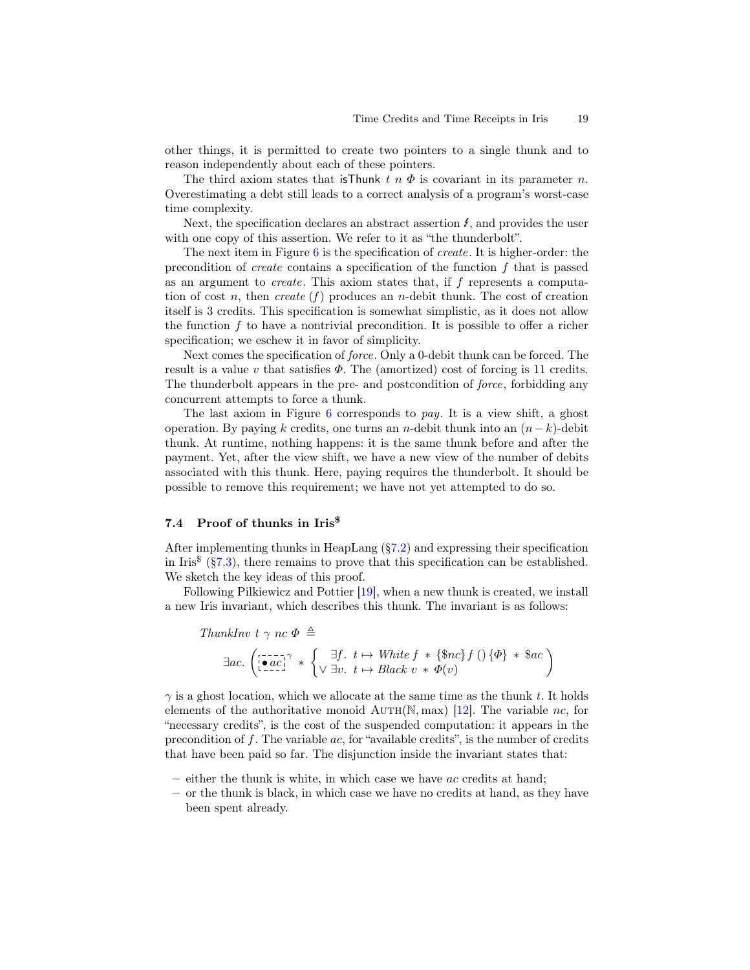other things, it is permitted to create two pointers to a single thunk and to reason independently about each of these pointers.

The third axiom states that isThunk  $t \, n \, \Phi$  is covariant in its parameter n. Overestimating a debt still leads to a correct analysis of a program's worst-case time complexity.

Next, the specification declares an abstract assertion  $\ell$ , and provides the user with one copy of this assertion. We refer to it as "the thunderbolt".

The next item in Figure  $6$  is the specification of *create*. It is higher-order: the precondition of create contains a specification of the function f that is passed as an argument to *create*. This axiom states that, if  $f$  represents a computation of cost n, then create  $(f)$  produces an n-debit thunk. The cost of creation itself is 3 credits. This specification is somewhat simplistic, as it does not allow the function  $f$  to have a nontrivial precondition. It is possible to offer a richer specification; we eschew it in favor of simplicity.

Next comes the specification of force. Only a 0-debit thunk can be forced. The result is a value v that satisfies  $\Phi$ . The (amortized) cost of forcing is 11 credits. The thunderbolt appears in the pre- and postcondition of force, forbidding any concurrent attempts to force a thunk.

The last axiom in Figure [6](#page-17-1) corresponds to pay. It is a view shift, a ghost operation. By paying k credits, one turns an n-debit thunk into an  $(n-k)$ -debit thunk. At runtime, nothing happens: it is the same thunk before and after the payment. Yet, after the view shift, we have a new view of the number of debits associated with this thunk. Here, paying requires the thunderbolt. It should be possible to remove this requirement; we have not yet attempted to do so.

### <span id="page-18-0"></span>7.4 Proof of thunks in Iris\$

After implementing thunks in HeapLang ([§7.2\)](#page-16-1) and expressing their specification in Iris<sup>\$</sup> ( $\S 7.3$ ), there remains to prove that this specification can be established. We sketch the key ideas of this proof.

Following Pilkiewicz and Pottier [\[19\]](#page-25-10), when a new thunk is created, we install a new Iris invariant, which describes this thunk. The invariant is as follows:

ThunkInv  $t \gamma$  nc  $\Phi \triangleq$  $\exists ac.$   $\left(\begin{matrix} - & - & -\gamma \\ 0 & ac \end{matrix}\right) * \begin{matrix} \frac{\gamma}{2} & \frac{\gamma}{2} & \frac{\gamma}{2} \\ \frac{\gamma}{2} & \frac{\gamma}{2} & \frac{\gamma}{2} & \frac{\gamma}{2} \\ \frac{\gamma}{2} & \frac{\gamma}{2} & \frac{\gamma}{2} & \frac{\gamma}{2} \end{matrix}$  White  $f * \{\text{snc}\}\{f\}\{\emptyset\} * \{\text{ac}\}\$  $\vee \exists v. \ t \mapsto Black \ v * \ \Phi(v)$  $\setminus$ 

 $\gamma$  is a ghost location, which we allocate at the same time as the thunk t. It holds elements of the authoritative monoid  $\text{AUTH}(\mathbb{N}, \text{max})$  [\[12\]](#page-25-3). The variable nc, for "necessary credits", is the cost of the suspended computation: it appears in the precondition of  $f$ . The variable  $ac$ , for "available credits", is the number of credits that have been paid so far. The disjunction inside the invariant states that:

- $-$  either the thunk is white, in which case we have ac credits at hand;
- or the thunk is black, in which case we have no credits at hand, as they have been spent already.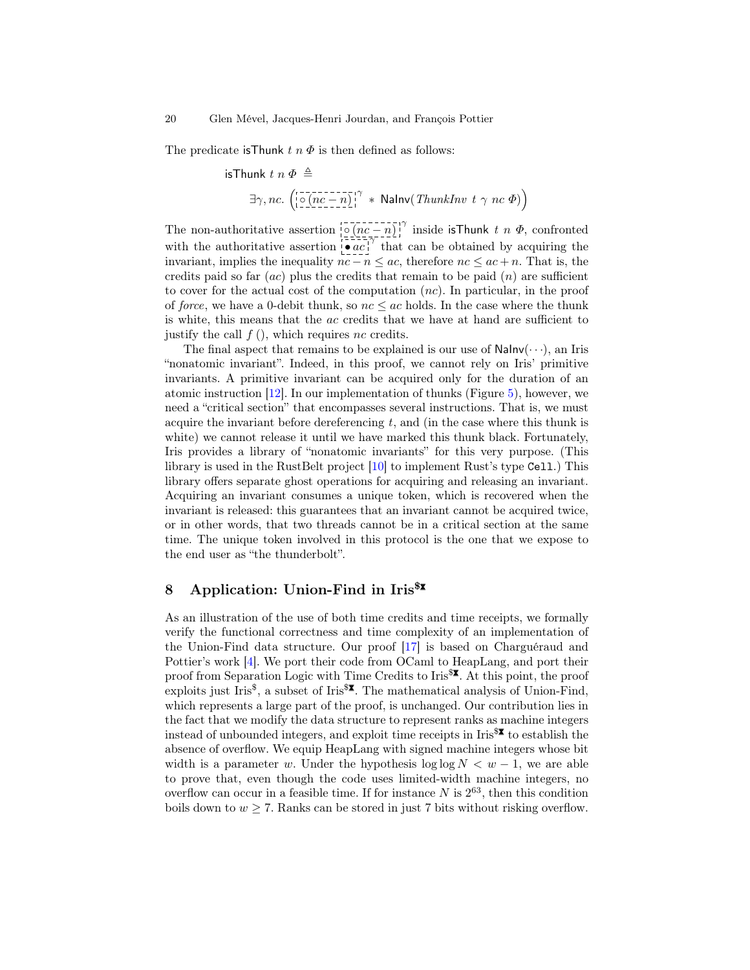The predicate is Thunk  $t \, n \, \Phi$  is then defined as follows:

isThunk 
$$
t n \Phi \triangleq
$$
  
\n
$$
\exists \gamma, nc. \begin{pmatrix} \frac{1}{2} (nc - n) \\ 0 (nc - n) \end{pmatrix}^{\gamma} * \text{Nalnv}(ThunkInv \ t \ \gamma \ nc \ \Phi) \end{pmatrix}
$$

The non-authoritative assertion  $\left[\circ (nc - n)\right]^{\gamma}$  inside isThunk t n  $\Phi$ , confronted with the authoritative assertion  $\oint \vec{a} c_1$ <sup>7</sup> that can be obtained by acquiring the invariant, implies the inequality  $nc - n \leq ac$ , therefore  $nc \leq ac + n$ . That is, the credits paid so far  $(ac)$  plus the credits that remain to be paid  $(n)$  are sufficient to cover for the actual cost of the computation  $(nc)$ . In particular, in the proof of force, we have a 0-debit thunk, so  $nc \leq ac$  holds. In the case where the thunk is white, this means that the ac credits that we have at hand are sufficient to justify the call  $f$  (), which requires nc credits.

The final aspect that remains to be explained is our use of  $Nalnv(\cdots)$ , an Iris "nonatomic invariant". Indeed, in this proof, we cannot rely on Iris' primitive invariants. A primitive invariant can be acquired only for the duration of an atomic instruction [\[12\]](#page-25-3). In our implementation of thunks (Figure [5\)](#page-17-0), however, we need a "critical section" that encompasses several instructions. That is, we must acquire the invariant before dereferencing  $t$ , and (in the case where this thunk is white) we cannot release it until we have marked this thunk black. Fortunately, Iris provides a library of "nonatomic invariants" for this very purpose. (This library is used in the RustBelt project [\[10\]](#page-25-11) to implement Rust's type Cell.) This library offers separate ghost operations for acquiring and releasing an invariant. Acquiring an invariant consumes a unique token, which is recovered when the invariant is released: this guarantees that an invariant cannot be acquired twice, or in other words, that two threads cannot be in a critical section at the same time. The unique token involved in this protocol is the one that we expose to the end user as "the thunderbolt".

# <span id="page-19-0"></span>8 Application: Union-Find in Iris<sup>\$1</sup>

As an illustration of the use of both time credits and time receipts, we formally verify the functional correctness and time complexity of an implementation of the Union-Find data structure. Our proof [\[17\]](#page-25-6) is based on Charguéraud and Pottier's work [\[4\]](#page-24-2). We port their code from OCaml to HeapLang, and port their proof from Separation Logic with Time Credits to Iris<sup>\$7</sup>. At this point, the proof exploits just Iris<sup>\$</sup>, a subset of Iris<sup>\$</sup>**I**. The mathematical analysis of Union-Find, which represents a large part of the proof, is unchanged. Our contribution lies in the fact that we modify the data structure to represent ranks as machine integers instead of unbounded integers, and exploit time receipts in  $\text{Iris}^{\text{SZ}}$  to establish the absence of overflow. We equip HeapLang with signed machine integers whose bit width is a parameter w. Under the hypothesis  $\log \log N < w - 1$ , we are able to prove that, even though the code uses limited-width machine integers, no overflow can occur in a feasible time. If for instance  $N$  is  $2^{63}$ , then this condition boils down to  $w \geq 7$ . Ranks can be stored in just 7 bits without risking overflow.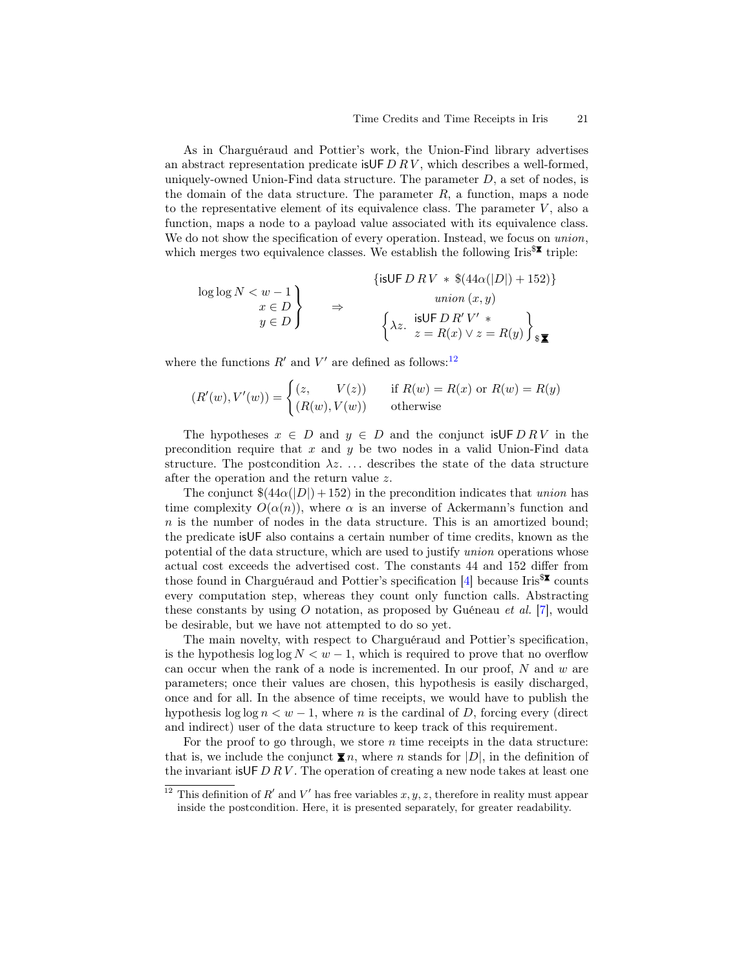As in Charguéraud and Pottier's work, the Union-Find library advertises an abstract representation predicate is UF  $D R V$ , which describes a well-formed, uniquely-owned Union-Find data structure. The parameter  $D$ , a set of nodes, is the domain of the data structure. The parameter  $R$ , a function, maps a node to the representative element of its equivalence class. The parameter  $V$ , also a function, maps a node to a payload value associated with its equivalence class. We do not show the specification of every operation. Instead, we focus on *union*, which merges two equivalence classes. We establish the following Iris<sup>\$</sup> $\bar{z}$  triple:

$$
\begin{array}{c}\n\log \log N < w - 1 \\
x \in D \\
y \in D\n\end{array}\n\Rightarrow\n\begin{array}{c}\n\{\text{isUF } DRV * \$(44\alpha(|D|) + 152)\} \\
\text{union } (x, y) \\
\{\lambda z. \quad \text{isUF } DR'V' * \\
z = R(x) \lor z = R(y)\}\n\end{array}
$$

where the functions  $R'$  and  $V'$  are defined as follows:<sup>[12](#page-20-0)</sup>

$$
(R'(w), V'(w)) = \begin{cases} (z, & V(z)) & \text{if } R(w) = R(x) \text{ or } R(w) = R(y) \\ (R(w), V(w)) & \text{otherwise} \end{cases}
$$

The hypotheses  $x \in D$  and  $y \in D$  and the conjunct is UF DRV in the precondition require that x and y be two nodes in a valid Union-Find data structure. The postcondition  $\lambda z$ ... describes the state of the data structure after the operation and the return value z.

The conjunct  $\$(44\alpha(|D|)+152)$  in the precondition indicates that union has time complexity  $O(\alpha(n))$ , where  $\alpha$  is an inverse of Ackermann's function and n is the number of nodes in the data structure. This is an amortized bound; the predicate isUF also contains a certain number of time credits, known as the potential of the data structure, which are used to justify union operations whose actual cost exceeds the advertised cost. The constants 44 and 152 differ from those found in Charguéraud and Pottier's specification [\[4\]](#page-24-2) because  $\text{I} \text{r}$  is<sup>\$2</sup> counts every computation step, whereas they count only function calls. Abstracting these constants by using O notation, as proposed by Guéneau *et al.* [\[7\]](#page-25-8), would be desirable, but we have not attempted to do so yet.

The main novelty, with respect to Charguéraud and Pottier's specification, is the hypothesis  $\log \log N < w - 1$ , which is required to prove that no overflow can occur when the rank of a node is incremented. In our proof,  $N$  and  $w$  are parameters; once their values are chosen, this hypothesis is easily discharged, once and for all. In the absence of time receipts, we would have to publish the hypothesis  $\log \log n < w - 1$ , where *n* is the cardinal of *D*, forcing every (direct and indirect) user of the data structure to keep track of this requirement.

For the proof to go through, we store  $n$  time receipts in the data structure: that is, we include the conjunct  $\mathbf{\Sigma} n$ , where n stands for  $|D|$ , in the definition of the invariant is UF D RV. The operation of creating a new node takes at least one

<span id="page-20-0"></span><sup>&</sup>lt;sup>12</sup> This definition of R' and V' has free variables x, y, z, therefore in reality must appear inside the postcondition. Here, it is presented separately, for greater readability.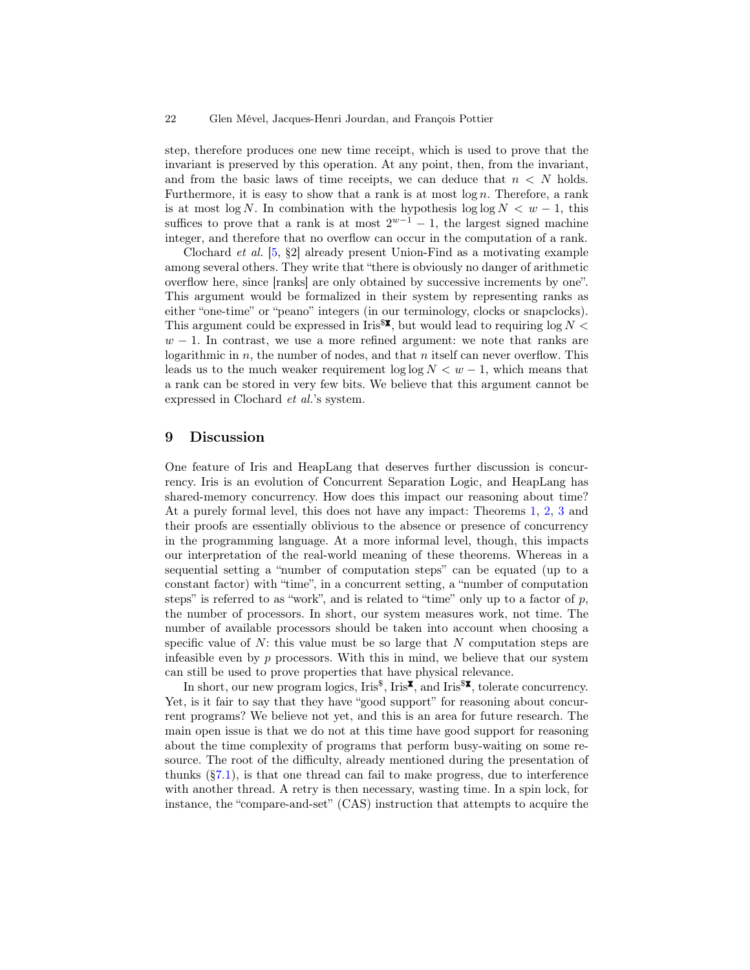step, therefore produces one new time receipt, which is used to prove that the invariant is preserved by this operation. At any point, then, from the invariant, and from the basic laws of time receipts, we can deduce that  $n < N$  holds. Furthermore, it is easy to show that a rank is at most  $log n$ . Therefore, a rank is at most  $\log N$ . In combination with the hypothesis  $\log \log N < w - 1$ , this suffices to prove that a rank is at most  $2^{w-1} - 1$ , the largest signed machine integer, and therefore that no overflow can occur in the computation of a rank.

Clochard *et al.* [\[5,](#page-24-3)  $\S2$ ] already present Union-Find as a motivating example among several others. They write that "there is obviously no danger of arithmetic overflow here, since [ranks] are only obtained by successive increments by one". This argument would be formalized in their system by representing ranks as either "one-time" or "peano" integers (in our terminology, clocks or snapclocks). This argument could be expressed in Iris<sup>\$</sup> $\mathbf{\Sigma}$ , but would lead to requiring log  $N <$  $w - 1$ . In contrast, we use a more refined argument: we note that ranks are logarithmic in  $n$ , the number of nodes, and that  $n$  itself can never overflow. This leads us to the much weaker requirement  $\log \log N < w - 1$ , which means that a rank can be stored in very few bits. We believe that this argument cannot be expressed in Clochard et al.'s system.

# <span id="page-21-0"></span>9 Discussion

One feature of Iris and HeapLang that deserves further discussion is concurrency. Iris is an evolution of Concurrent Separation Logic, and HeapLang has shared-memory concurrency. How does this impact our reasoning about time? At a purely formal level, this does not have any impact: Theorems [1,](#page-10-1) [2,](#page-12-1) [3](#page-14-2) and their proofs are essentially oblivious to the absence or presence of concurrency in the programming language. At a more informal level, though, this impacts our interpretation of the real-world meaning of these theorems. Whereas in a sequential setting a "number of computation steps" can be equated (up to a constant factor) with "time", in a concurrent setting, a "number of computation steps" is referred to as "work", and is related to "time" only up to a factor of  $p$ , the number of processors. In short, our system measures work, not time. The number of available processors should be taken into account when choosing a specific value of  $N$ : this value must be so large that N computation steps are infeasible even by  $p$  processors. With this in mind, we believe that our system can still be used to prove properties that have physical relevance.

In short, our new program logics, Iris<sup>\$</sup>, Iris<sup>\$</sup>, and Iris<sup>\$</sup><sup>\*</sup>, tolerate concurrency. Yet, is it fair to say that they have "good support" for reasoning about concurrent programs? We believe not yet, and this is an area for future research. The main open issue is that we do not at this time have good support for reasoning about the time complexity of programs that perform busy-waiting on some resource. The root of the difficulty, already mentioned during the presentation of thunks ([§7.1\)](#page-15-0), is that one thread can fail to make progress, due to interference with another thread. A retry is then necessary, wasting time. In a spin lock, for instance, the "compare-and-set" (CAS) instruction that attempts to acquire the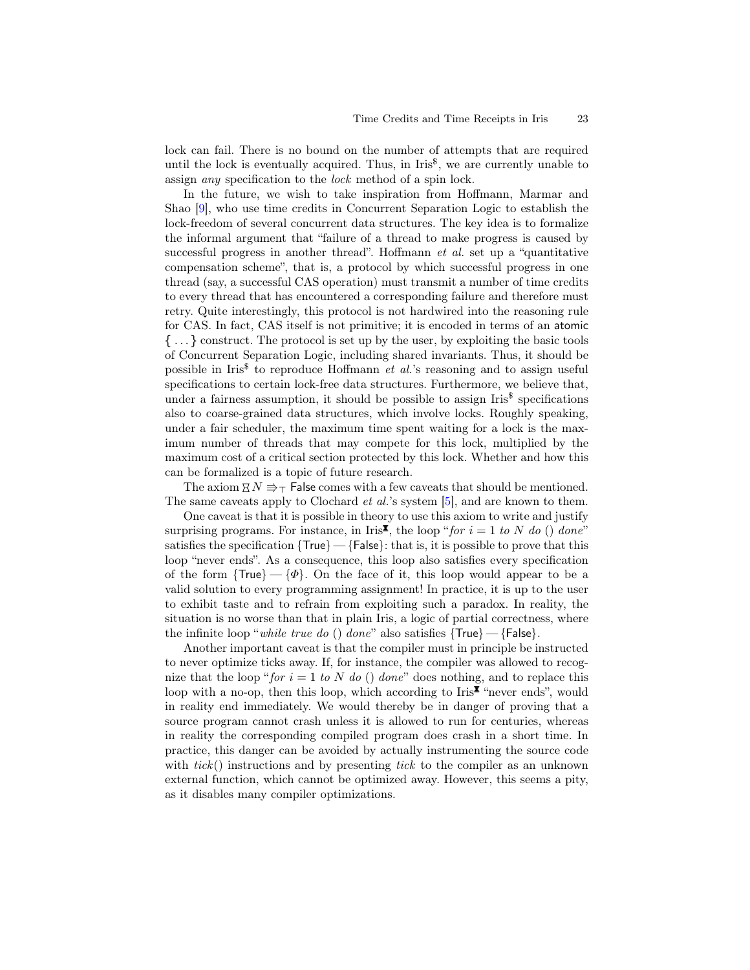lock can fail. There is no bound on the number of attempts that are required until the lock is eventually acquired. Thus, in Iris<sup>\$</sup>, we are currently unable to assign any specification to the lock method of a spin lock.

In the future, we wish to take inspiration from Hoffmann, Marmar and Shao [\[9\]](#page-25-4), who use time credits in Concurrent Separation Logic to establish the lock-freedom of several concurrent data structures. The key idea is to formalize the informal argument that "failure of a thread to make progress is caused by successful progress in another thread". Hoffmann et al. set up a "quantitative compensation scheme", that is, a protocol by which successful progress in one thread (say, a successful CAS operation) must transmit a number of time credits to every thread that has encountered a corresponding failure and therefore must retry. Quite interestingly, this protocol is not hardwired into the reasoning rule for CAS. In fact, CAS itself is not primitive; it is encoded in terms of an atomic  $\{\ldots\}$  construct. The protocol is set up by the user, by exploiting the basic tools of Concurrent Separation Logic, including shared invariants. Thus, it should be possible in Iris<sup>\$</sup> to reproduce Hoffmann *et al.*'s reasoning and to assign useful specifications to certain lock-free data structures. Furthermore, we believe that, under a fairness assumption, it should be possible to assign Iris<sup>\$</sup> specifications also to coarse-grained data structures, which involve locks. Roughly speaking, under a fair scheduler, the maximum time spent waiting for a lock is the maximum number of threads that may compete for this lock, multiplied by the maximum cost of a critical section protected by this lock. Whether and how this can be formalized is a topic of future research.

The axiom  $\nabla N \Rightarrow_{\tau}$  False comes with a few caveats that should be mentioned. The same caveats apply to Clochard  $et$  al.'s system  $[5]$ , and are known to them.

One caveat is that it is possible in theory to use this axiom to write and justify surprising programs. For instance, in Iris<sup> $\bar{\bm{z}}$ </sup>, the loop "for  $i = 1$  to N do () done" satisfies the specification  $\{True\}$  -  $\{False\}$ : that is, it is possible to prove that this loop "never ends". As a consequence, this loop also satisfies every specification of the form  $\{True\}$  — { $\Phi$ }. On the face of it, this loop would appear to be a valid solution to every programming assignment! In practice, it is up to the user to exhibit taste and to refrain from exploiting such a paradox. In reality, the situation is no worse than that in plain Iris, a logic of partial correctness, where the infinite loop "while true do () done" also satisfies  $\{True\}$  -  $\{False\}$ .

Another important caveat is that the compiler must in principle be instructed to never optimize ticks away. If, for instance, the compiler was allowed to recognize that the loop "for  $i = 1$  to N do () done" does nothing, and to replace this loop with a no-op, then this loop, which according to Iris<sup> $\bar{z}$ </sup> "never ends", would in reality end immediately. We would thereby be in danger of proving that a source program cannot crash unless it is allowed to run for centuries, whereas in reality the corresponding compiled program does crash in a short time. In practice, this danger can be avoided by actually instrumenting the source code with  $tick()$  instructions and by presenting tick to the compiler as an unknown external function, which cannot be optimized away. However, this seems a pity, as it disables many compiler optimizations.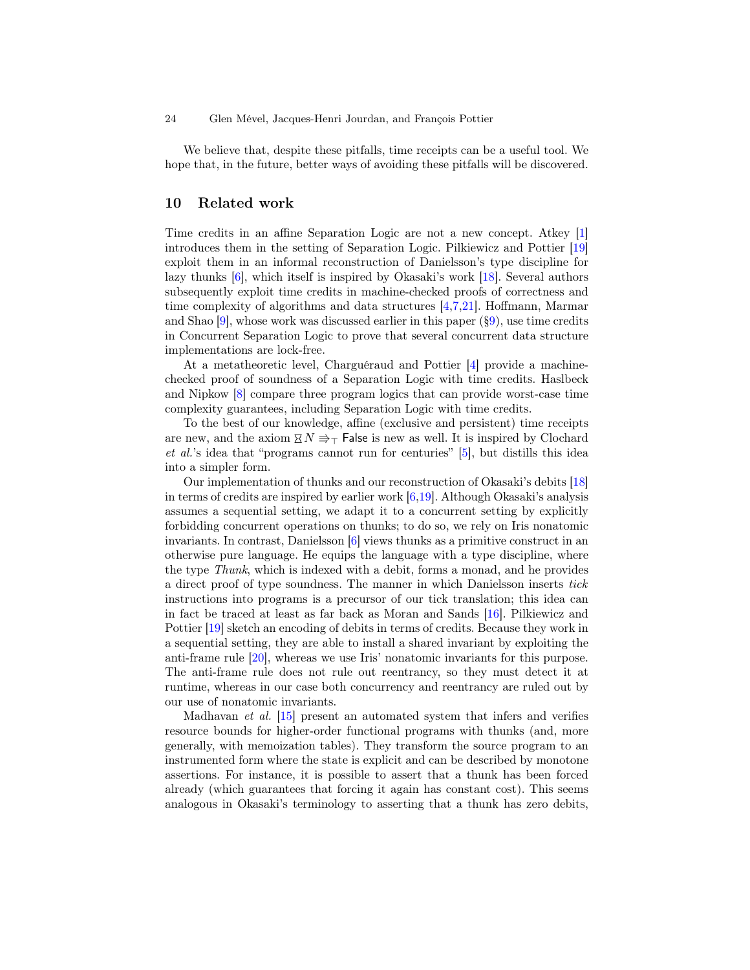We believe that, despite these pitfalls, time receipts can be a useful tool. We hope that, in the future, better ways of avoiding these pitfalls will be discovered.

# 10 Related work

Time credits in an affine Separation Logic are not a new concept. Atkey [\[1\]](#page-24-1) introduces them in the setting of Separation Logic. Pilkiewicz and Pottier [\[19\]](#page-25-10) exploit them in an informal reconstruction of Danielsson's type discipline for lazy thunks [\[6\]](#page-25-9), which itself is inspired by Okasaki's work [\[18\]](#page-25-5). Several authors subsequently exploit time credits in machine-checked proofs of correctness and time complexity of algorithms and data structures [\[4,](#page-24-2)[7,](#page-25-8)[21\]](#page-25-12). Hoffmann, Marmar and Shao  $[9]$ , whose work was discussed earlier in this paper  $(\S 9)$ , use time credits in Concurrent Separation Logic to prove that several concurrent data structure implementations are lock-free.

At a metatheoretic level, Charguéraud and Pottier [\[4\]](#page-24-2) provide a machinechecked proof of soundness of a Separation Logic with time credits. Haslbeck and Nipkow [\[8\]](#page-25-13) compare three program logics that can provide worst-case time complexity guarantees, including Separation Logic with time credits.

To the best of our knowledge, affine (exclusive and persistent) time receipts are new, and the axiom  $\sum N \Rightarrow_{\top}$  False is new as well. It is inspired by Clochard et al.'s idea that "programs cannot run for centuries" [\[5\]](#page-24-3), but distills this idea into a simpler form.

Our implementation of thunks and our reconstruction of Okasaki's debits [\[18\]](#page-25-5) in terms of credits are inspired by earlier work [\[6](#page-25-9)[,19\]](#page-25-10). Although Okasaki's analysis assumes a sequential setting, we adapt it to a concurrent setting by explicitly forbidding concurrent operations on thunks; to do so, we rely on Iris nonatomic invariants. In contrast, Danielsson [\[6\]](#page-25-9) views thunks as a primitive construct in an otherwise pure language. He equips the language with a type discipline, where the type Thunk, which is indexed with a debit, forms a monad, and he provides a direct proof of type soundness. The manner in which Danielsson inserts tick instructions into programs is a precursor of our tick translation; this idea can in fact be traced at least as far back as Moran and Sands [\[16\]](#page-25-14). Pilkiewicz and Pottier [\[19\]](#page-25-10) sketch an encoding of debits in terms of credits. Because they work in a sequential setting, they are able to install a shared invariant by exploiting the anti-frame rule [\[20\]](#page-25-15), whereas we use Iris' nonatomic invariants for this purpose. The anti-frame rule does not rule out reentrancy, so they must detect it at runtime, whereas in our case both concurrency and reentrancy are ruled out by our use of nonatomic invariants.

Madhavan et al. [\[15\]](#page-25-16) present an automated system that infers and verifies resource bounds for higher-order functional programs with thunks (and, more generally, with memoization tables). They transform the source program to an instrumented form where the state is explicit and can be described by monotone assertions. For instance, it is possible to assert that a thunk has been forced already (which guarantees that forcing it again has constant cost). This seems analogous in Okasaki's terminology to asserting that a thunk has zero debits,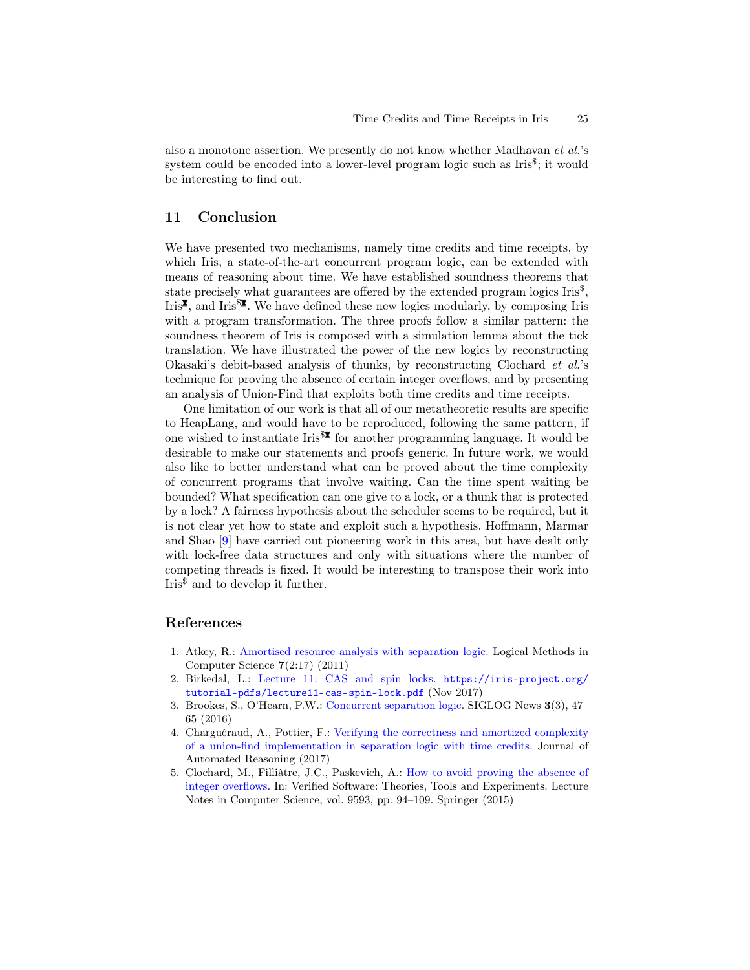also a monotone assertion. We presently do not know whether Madhavan et al.'s system could be encoded into a lower-level program logic such as Iris<sup>\$</sup>; it would be interesting to find out.

## 11 Conclusion

We have presented two mechanisms, namely time credits and time receipts, by which Iris, a state-of-the-art concurrent program logic, can be extended with means of reasoning about time. We have established soundness theorems that state precisely what guarantees are offered by the extended program logics  $\text{Iris}^{\$}$ , Iris<sup> $\overline{Z}$ </sup>, and Iris<sup>\$</sup> $\overline{Z}$ . We have defined these new logics modularly, by composing Iris with a program transformation. The three proofs follow a similar pattern: the soundness theorem of Iris is composed with a simulation lemma about the tick translation. We have illustrated the power of the new logics by reconstructing Okasaki's debit-based analysis of thunks, by reconstructing Clochard et al.'s technique for proving the absence of certain integer overflows, and by presenting an analysis of Union-Find that exploits both time credits and time receipts.

One limitation of our work is that all of our metatheoretic results are specific to HeapLang, and would have to be reproduced, following the same pattern, if one wished to instantiate Iris<sup>\$2</sup> for another programming language. It would be desirable to make our statements and proofs generic. In future work, we would also like to better understand what can be proved about the time complexity of concurrent programs that involve waiting. Can the time spent waiting be bounded? What specification can one give to a lock, or a thunk that is protected by a lock? A fairness hypothesis about the scheduler seems to be required, but it is not clear yet how to state and exploit such a hypothesis. Hoffmann, Marmar and Shao [\[9\]](#page-25-4) have carried out pioneering work in this area, but have dealt only with lock-free data structures and only with situations where the number of competing threads is fixed. It would be interesting to transpose their work into Iris\$ and to develop it further.

# References

- <span id="page-24-1"></span>1. Atkey, R.: [Amortised resource analysis with separation logic.](http://bentnib.org/amortised-sep-logic-journal.pdf) Logical Methods in Computer Science 7(2:17) (2011)
- <span id="page-24-4"></span>2. Birkedal, L.: [Lecture 11: CAS and spin locks.](https://iris-project.org/tutorial-pdfs/lecture11-cas-spin-lock.pdf) [https://iris-project.org/](https://iris-project.org/tutorial-pdfs/lecture11-cas-spin-lock.pdf) [tutorial-pdfs/lecture11-cas-spin-lock.pdf](https://iris-project.org/tutorial-pdfs/lecture11-cas-spin-lock.pdf) (Nov 2017)
- <span id="page-24-0"></span>3. Brookes, S., O'Hearn, P.W.: [Concurrent separation logic.](http://siglog.hosting.acm.org/wp-content/uploads/2016/07/siglog_news_9.pdf#page=49) SIGLOG News 3(3), 47– 65 (2016)
- <span id="page-24-2"></span>4. Charguéraud, A., Pottier, F.: [Verifying the correctness and amortized complexity](http://gallium.inria.fr/~fpottier/publis/chargueraud-pottier-uf-sltc.pdf) [of a union-find implementation in separation logic with time credits.](http://gallium.inria.fr/~fpottier/publis/chargueraud-pottier-uf-sltc.pdf) Journal of Automated Reasoning (2017)
- <span id="page-24-3"></span>5. Clochard, M., Filliâtre, J.C., Paskevich, A.: [How to avoid proving the absence of](https://hal.inria.fr/hal-01162661) [integer overflows.](https://hal.inria.fr/hal-01162661) In: Verified Software: Theories, Tools and Experiments. Lecture Notes in Computer Science, vol. 9593, pp. 94–109. Springer (2015)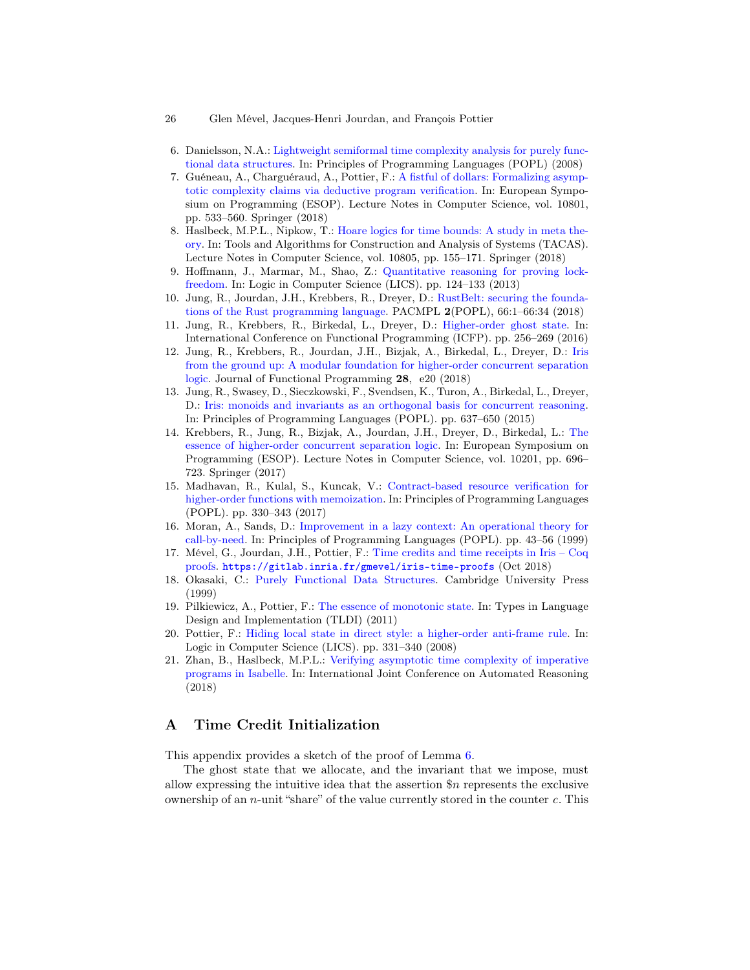- <span id="page-25-9"></span>6. Danielsson, N.A.: [Lightweight semiformal time complexity analysis for purely func](http://www.cse.chalmers.se/~nad/publications/danielsson-popl2008.pdf)[tional data structures.](http://www.cse.chalmers.se/~nad/publications/danielsson-popl2008.pdf) In: Principles of Programming Languages (POPL) (2008)
- <span id="page-25-8"></span>7. Guéneau, A., Charguéraud, A., Pottier, F.: [A fistful of dollars: Formalizing asymp](http://gallium.inria.fr/~fpottier/publis/gueneau-chargeraud-pottier-esop2018.pdf)[totic complexity claims via deductive program verification.](http://gallium.inria.fr/~fpottier/publis/gueneau-chargeraud-pottier-esop2018.pdf) In: European Symposium on Programming (ESOP). Lecture Notes in Computer Science, vol. 10801, pp. 533–560. Springer (2018)
- <span id="page-25-13"></span>8. Haslbeck, M.P.L., Nipkow, T.: [Hoare logics for time bounds: A study in meta the](https://www21.in.tum.de/~nipkow/pubs/tacas18.pdf)[ory.](https://www21.in.tum.de/~nipkow/pubs/tacas18.pdf) In: Tools and Algorithms for Construction and Analysis of Systems (TACAS). Lecture Notes in Computer Science, vol. 10805, pp. 155–171. Springer (2018)
- <span id="page-25-4"></span>9. Hoffmann, J., Marmar, M., Shao, Z.: [Quantitative reasoning for proving lock](http://www.cs.cmu.edu/~janh/papers/lockfree2013.pdf)[freedom.](http://www.cs.cmu.edu/~janh/papers/lockfree2013.pdf) In: Logic in Computer Science (LICS). pp. 124–133 (2013)
- <span id="page-25-11"></span>10. Jung, R., Jourdan, J.H., Krebbers, R., Dreyer, D.: [RustBelt: securing the founda](https://people.mpi-sws.org/~dreyer/papers/rustbelt/paper.pdf)[tions of the Rust programming language.](https://people.mpi-sws.org/~dreyer/papers/rustbelt/paper.pdf) PACMPL 2(POPL), 66:1–66:34 (2018)
- <span id="page-25-1"></span>11. Jung, R., Krebbers, R., Birkedal, L., Dreyer, D.: [Higher-order ghost state.](http://iris-project.org/pdfs/2016-icfp-iris2-final.pdf) In: International Conference on Functional Programming (ICFP). pp. 256–269 (2016)
- <span id="page-25-3"></span>12. Jung, R., Krebbers, R., Jourdan, J.H., Bizjak, A., Birkedal, L., Dreyer, D.: [Iris](https://people.mpi-sws.org/~dreyer/papers/iris-ground-up/paper.pdf) [from the ground up: A modular foundation for higher-order concurrent separation](https://people.mpi-sws.org/~dreyer/papers/iris-ground-up/paper.pdf) [logic.](https://people.mpi-sws.org/~dreyer/papers/iris-ground-up/paper.pdf) Journal of Functional Programming 28, e20 (2018)
- <span id="page-25-0"></span>13. Jung, R., Swasey, D., Sieczkowski, F., Svendsen, K., Turon, A., Birkedal, L., Dreyer, D.: [Iris: monoids and invariants as an orthogonal basis for concurrent reasoning.](http://plv.mpi-sws.org/iris/paper.pdf) In: Principles of Programming Languages (POPL). pp. 637–650 (2015)
- <span id="page-25-2"></span>14. Krebbers, R., Jung, R., Bizjak, A., Jourdan, J.H., Dreyer, D., Birkedal, L.: [The](http://iris-project.org/pdfs/2017-esop-iris3-final.pdf) [essence of higher-order concurrent separation logic.](http://iris-project.org/pdfs/2017-esop-iris3-final.pdf) In: European Symposium on Programming (ESOP). Lecture Notes in Computer Science, vol. 10201, pp. 696– 723. Springer (2017)
- <span id="page-25-16"></span>15. Madhavan, R., Kulal, S., Kuncak, V.: [Contract-based resource verification for](http://lara.epfl.ch/~kandhada/orb-popl17.pdf) [higher-order functions with memoization.](http://lara.epfl.ch/~kandhada/orb-popl17.pdf) In: Principles of Programming Languages (POPL). pp. 330–343 (2017)
- <span id="page-25-14"></span>16. Moran, A., Sands, D.: [Improvement in a lazy context: An operational theory for](http://www.cse.chalmers.se/~dave/papers/cbneed-theory.pdf) [call-by-need.](http://www.cse.chalmers.se/~dave/papers/cbneed-theory.pdf) In: Principles of Programming Languages (POPL). pp. 43–56 (1999)
- <span id="page-25-6"></span>17. Mével, G., Jourdan, J.H., Pottier, F.: [Time credits and time receipts in Iris – Coq](https://gitlab.inria.fr/gmevel/iris-time-proofs) [proofs.](https://gitlab.inria.fr/gmevel/iris-time-proofs) <https://gitlab.inria.fr/gmevel/iris-time-proofs> (Oct 2018)
- <span id="page-25-5"></span>18. Okasaki, C.: [Purely Functional Data Structures.](http://www.cambridge.org/us/catalogue/catalogue.asp?isbn=0521663504) Cambridge University Press (1999)
- <span id="page-25-10"></span>19. Pilkiewicz, A., Pottier, F.: [The essence of monotonic state.](http://gallium.inria.fr/~fpottier/publis/pilkiewicz-pottier-monotonicity.pdf) In: Types in Language Design and Implementation (TLDI) (2011)
- <span id="page-25-15"></span>20. Pottier, F.: [Hiding local state in direct style: a higher-order anti-frame rule.](http://gallium.inria.fr/~fpottier/publis/fpottier-antiframe-2008.pdf) In: Logic in Computer Science (LICS). pp. 331–340 (2008)
- <span id="page-25-12"></span>21. Zhan, B., Haslbeck, M.P.L.: [Verifying asymptotic time complexity of imperative](http://arxiv.org/abs/1802.01336) [programs in Isabelle.](http://arxiv.org/abs/1802.01336) In: International Joint Conference on Automated Reasoning (2018)

# <span id="page-25-7"></span>A Time Credit Initialization

This appendix provides a sketch of the proof of Lemma [6.](#page-11-0)

The ghost state that we allocate, and the invariant that we impose, must allow expressing the intuitive idea that the assertion \$n represents the exclusive ownership of an  $n$ -unit "share" of the value currently stored in the counter  $c$ . This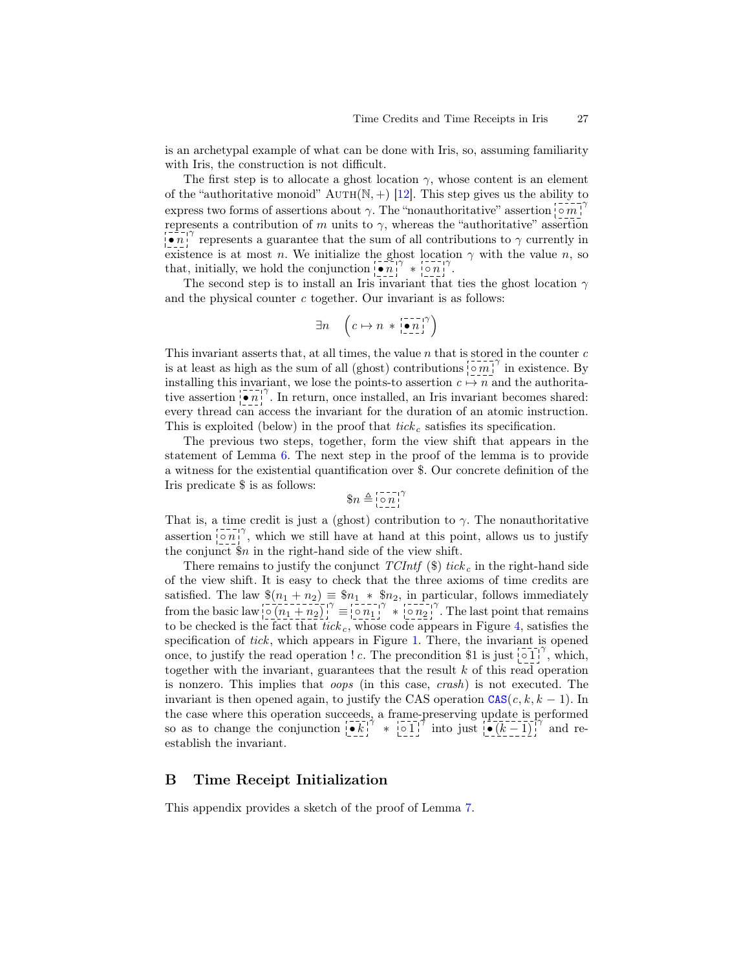is an archetypal example of what can be done with Iris, so, assuming familiarity with Iris, the construction is not difficult.

The first step is to allocate a ghost location  $\gamma$ , whose content is an element of the "authoritative monoid"  $AUTH(N, +)$  [\[12\]](#page-25-3). This step gives us the ability to express two forms of assertions about  $\gamma$ . The "nonauthoritative" assertion  $\left[\circ m\right]$ " represents a contribution of m units to  $\gamma$ , whereas the "authoritative" assertion  $\bullet n$ <sup>[17]</sup> represents a guarantee that the sum of all contributions to  $\gamma$  currently in existence is at most *n*. We initialize the ghost location  $\gamma$  with the value *n*, so that, initially, we hold the conjunction • n γ ∗ ◦ n γ .

The second step is to install an Iris invariant that ties the ghost location  $\gamma$ and the physical counter  $c$  together. Our invariant is as follows:

$$
\exists n \quad \left( c \mapsto n \; * \left( \begin{smallmatrix} - & - & - & \gamma \\ \bullet & n & \ast & \bullet & n \\ - & - & - & \ast \end{smallmatrix} \right) \right)
$$

This invariant asserts that, at all times, the value  $n$  that is stored in the counter  $c$ is at least as high as the sum of all (ghost) contributions  $\frac{1}{2}$  o  $m_1^2$  in existence. By installing this invariant, we lose the points-to assertion  $c \mapsto n$  and the authoritative assertion  $\left[\bullet n\right]^{\gamma}$ . In return, once installed, an Iris invariant becomes shared: every thread can access the invariant for the duration of an atomic instruction. This is exploited (below) in the proof that  $tick<sub>c</sub>$  satisfies its specification.

The previous two steps, together, form the view shift that appears in the statement of Lemma [6.](#page-11-0) The next step in the proof of the lemma is to provide a witness for the existential quantification over \$. Our concrete definition of the Iris predicate \$ is as follows:

$$
\$n \triangleq [\circ n]
$$

That is, a time credit is just a (ghost) contribution to  $\gamma$ . The nonauthoritative assertion  $\overline{\otimes}$  n<sup> $\overline{\otimes}$ </sup>, which we still have at hand at this point, allows us to justify the conjunct  $\mathcal{F}_n$  in the right-hand side of the view shift.

There remains to justify the conjunct  $TClntf$  (\$) tick<sub>c</sub> in the right-hand side of the view shift. It is easy to check that the three axioms of time credits are satisfied. The law  $\$(n_1 + n_2) \equiv \$n_1 * \$n_2$ , in particular, follows immediately from the basic law  $\left[\circ (n_1+n_2)\right]^{\gamma} \equiv \left[\circ n_1\right]^{\gamma} * \left[\circ n_2\right]^{\gamma}$ . The last point that remains to be checked is the fact that  $tick<sub>c</sub>$ , whose code appears in Figure [4,](#page-9-0) satisfies the specification of tick, which appears in Figure [1.](#page-3-0) There, the invariant is opened once, to justify the read operation  $\lbrack c$ . The precondition \$1 is just  $\lbrack \circ 1 \rbrack$ , which, together with the invariant, guarantees that the result  $k$  of this read operation is nonzero. This implies that oops (in this case, crash) is not executed. The invariant is then opened again, to justify the CAS operation  $CAS(c, k, k - 1)$ . In the case where this operation succeeds, a frame-preserving update is performed so as to change the conjunction  $\overrightarrow{[e]}^{\gamma} * \overrightarrow{[e]}^{\gamma}$  into just  $\overrightarrow{[e(k-1)]}^{\gamma}$  and reestablish the invariant.

## <span id="page-26-0"></span>B Time Receipt Initialization

This appendix provides a sketch of the proof of Lemma [7.](#page-13-2)